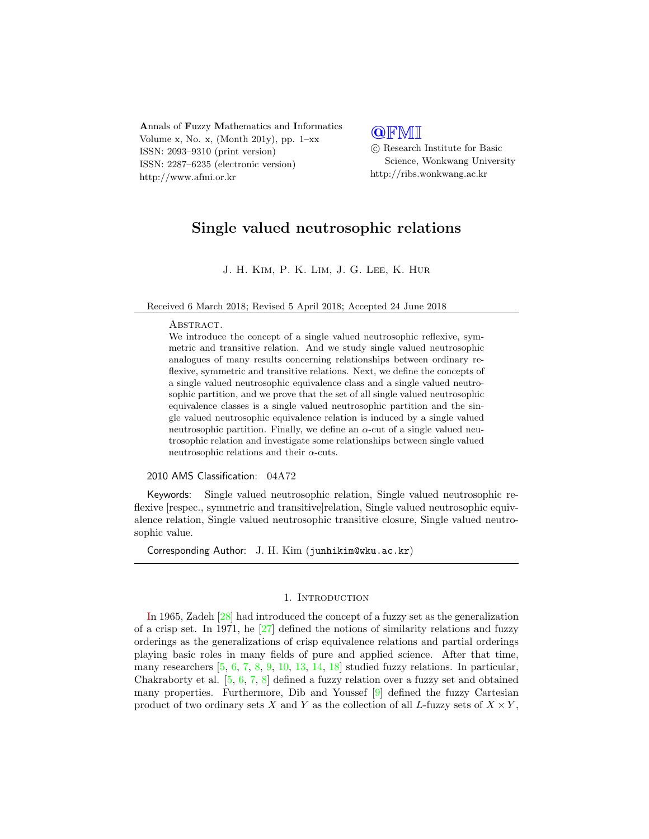Annals of Fuzzy Mathematics and Informatics Volume x, No. x, (Month 201y), pp.  $1-xx$ ISSN: 2093–9310 (print version) ISSN: 2287–6235 (electronic version) http://www.afmi.or.kr

# **QFMI**

 c Research Institute for Basic Science, Wonkwang University http://ribs.wonkwang.ac.kr

# Single valued neutrosophic relations

J. H. Kim, P. K. Lim, J. G. Lee, K. Hur

Received 6 March 2018; Revised 5 April 2018; Accepted 24 June 2018

## ABSTRACT.

We introduce the concept of a single valued neutrosophic reflexive, symmetric and transitive relation. And we study single valued neutrosophic analogues of many results concerning relationships between ordinary reflexive, symmetric and transitive relations. Next, we define the concepts of a single valued neutrosophic equivalence class and a single valued neutrosophic partition, and we prove that the set of all single valued neutrosophic equivalence classes is a single valued neutrosophic partition and the single valued neutrosophic equivalence relation is induced by a single valued neutrosophic partition. Finally, we define an  $\alpha$ -cut of a single valued neutrosophic relation and investigate some relationships between single valued neutrosophic relations and their  $\alpha$ -cuts.

#### 2010 AMS Classification: 04A72

Keywords: Single valued neutrosophic relation, Single valued neutrosophic reflexive [respec., symmetric and transitive]relation, Single valued neutrosophic equivalence relation, Single valued neutrosophic transitive closure, Single valued neutrosophic value.

Corresponding Author: J. H. Kim (junhikim@wku.ac.kr)

## 1. INTRODUCTION

In 1965, Zadeh [\[28\]](#page-20-0) had introduced the concept of a fuzzy set as the generalization of a crisp set. In 1971, he [\[27\]](#page-20-1) defined the notions of similarity relations and fuzzy orderings as the generalizations of crisp equivalence relations and partial orderings playing basic roles in many fields of pure and applied science. After that time, many researchers  $[5, 6, 7, 8, 9, 10, 13, 14, 18]$  $[5, 6, 7, 8, 9, 10, 13, 14, 18]$  $[5, 6, 7, 8, 9, 10, 13, 14, 18]$  $[5, 6, 7, 8, 9, 10, 13, 14, 18]$  $[5, 6, 7, 8, 9, 10, 13, 14, 18]$  $[5, 6, 7, 8, 9, 10, 13, 14, 18]$  $[5, 6, 7, 8, 9, 10, 13, 14, 18]$  $[5, 6, 7, 8, 9, 10, 13, 14, 18]$  $[5, 6, 7, 8, 9, 10, 13, 14, 18]$  $[5, 6, 7, 8, 9, 10, 13, 14, 18]$  $[5, 6, 7, 8, 9, 10, 13, 14, 18]$  $[5, 6, 7, 8, 9, 10, 13, 14, 18]$  $[5, 6, 7, 8, 9, 10, 13, 14, 18]$  $[5, 6, 7, 8, 9, 10, 13, 14, 18]$  $[5, 6, 7, 8, 9, 10, 13, 14, 18]$  $[5, 6, 7, 8, 9, 10, 13, 14, 18]$  $[5, 6, 7, 8, 9, 10, 13, 14, 18]$  studied fuzzy relations. In particular, Chakraborty et al. [\[5,](#page-19-0) [6,](#page-19-1) [7,](#page-19-2) [8\]](#page-19-3) defined a fuzzy relation over a fuzzy set and obtained many properties. Furthermore, Dib and Youssef [\[9\]](#page-19-4) defined the fuzzy Cartesian product of two ordinary sets X and Y as the collection of all L-fuzzy sets of  $X \times Y$ ,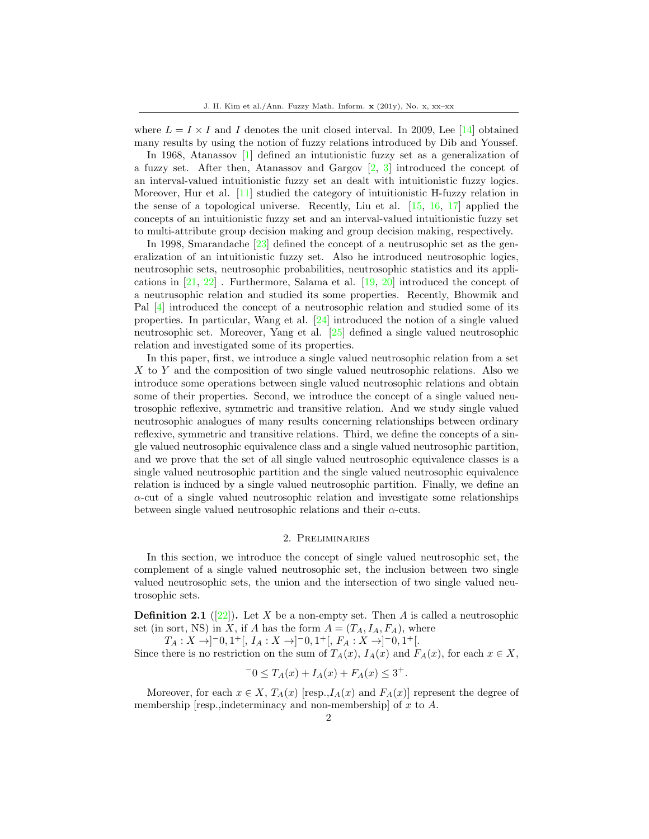where  $L = I \times I$  and I denotes the unit closed interval. In 2009, Lee [\[14\]](#page-19-7) obtained many results by using the notion of fuzzy relations introduced by Dib and Youssef.

In 1968, Atanassov [\[1\]](#page-19-8) defined an intutionistic fuzzy set as a generalization of a fuzzy set. After then, Atanassov and Gargov  $\left[2, 3\right]$  $\left[2, 3\right]$  $\left[2, 3\right]$  introduced the concept of an interval-valued intuitionistic fuzzy set an dealt with intuitionistic fuzzy logics. Moreover, Hur et al. [\[11\]](#page-19-11) studied the category of intuitionistic H-fuzzy relation in the sense of a topological universe. Recently, Liu et al. [\[15,](#page-19-12) [16,](#page-19-13) [17\]](#page-20-3) applied the concepts of an intuitionistic fuzzy set and an interval-valued intuitionistic fuzzy set to multi-attribute group decision making and group decision making, respectively.

In 1998, Smarandache [\[23\]](#page-20-4) defined the concept of a neutrusophic set as the generalization of an intuitionistic fuzzy set. Also he introduced neutrosophic logics, neutrosophic sets, neutrosophic probabilities, neutrosophic statistics and its applications in [\[21,](#page-20-5) [22\]](#page-20-6) . Furthermore, Salama et al. [\[19,](#page-20-7) [20\]](#page-20-8) introduced the concept of a neutrusophic relation and studied its some properties. Recently, Bhowmik and Pal [\[4\]](#page-19-14) introduced the concept of a neutrosophic relation and studied some of its properties. In particular, Wang et al. [\[24\]](#page-20-9) introduced the notion of a single valued neutrosophic set. Moreover, Yang et al. [\[25\]](#page-20-10) defined a single valued neutrosophic relation and investigated some of its properties.

In this paper, first, we introduce a single valued neutrosophic relation from a set X to Y and the composition of two single valued neutrosophic relations. Also we introduce some operations between single valued neutrosophic relations and obtain some of their properties. Second, we introduce the concept of a single valued neutrosophic reflexive, symmetric and transitive relation. And we study single valued neutrosophic analogues of many results concerning relationships between ordinary reflexive, symmetric and transitive relations. Third, we define the concepts of a single valued neutrosophic equivalence class and a single valued neutrosophic partition, and we prove that the set of all single valued neutrosophic equivalence classes is a single valued neutrosophic partition and the single valued neutrosophic equivalence relation is induced by a single valued neutrosophic partition. Finally, we define an  $\alpha$ -cut of a single valued neutrosophic relation and investigate some relationships between single valued neutrosophic relations and their  $\alpha$ -cuts.

#### 2. Preliminaries

In this section, we introduce the concept of single valued neutrosophic set, the complement of a single valued neutrosophic set, the inclusion between two single valued neutrosophic sets, the union and the intersection of two single valued neutrosophic sets.

**Definition 2.1** ([\[22\]](#page-20-6)). Let X be a non-empty set. Then A is called a neutrosophic set (in sort, NS) in X, if A has the form  $A = (T_A, I_A, F_A)$ , where

 $T_A: X \rightarrow ]-0,1^+[, I_A: X \rightarrow ]-0,1^+[, F_A: X \rightarrow ]-0,1^+[.$ Since there is no restriction on the sum of  $T_A(x)$ ,  $I_A(x)$  and  $F_A(x)$ , for each  $x \in X$ ,

$$
-0 \le T_A(x) + I_A(x) + F_A(x) \le 3^+.
$$

Moreover, for each  $x \in X$ ,  $T_A(x)$  [resp.,  $I_A(x)$  and  $F_A(x)$ ] represent the degree of membership [resp.,indeterminacy and non-membership] of  $x$  to  $A$ .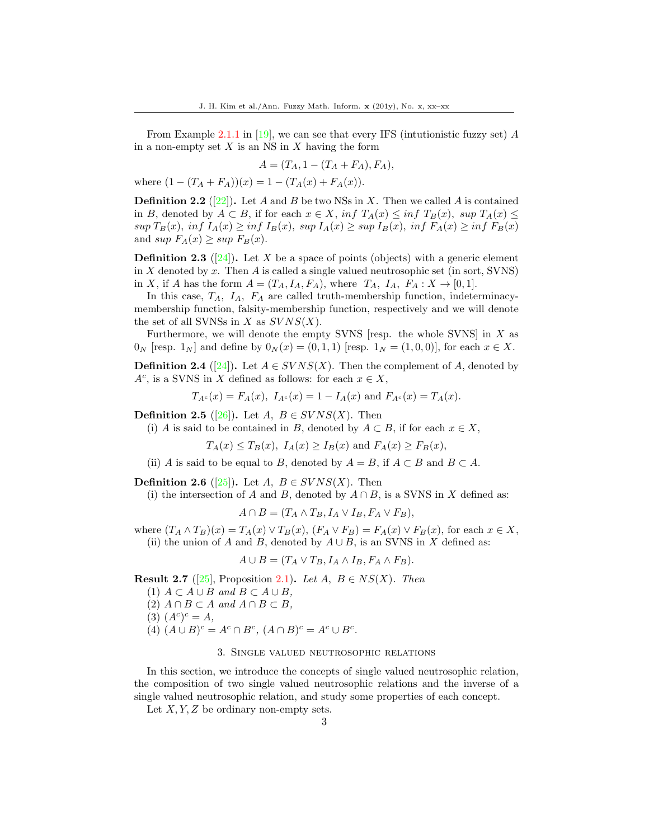From Example 2.1.1 in [\[19\]](#page-20-7), we can see that every IFS (intutionistic fuzzy set)  $A$ in a non-empty set  $X$  is an NS in  $X$  having the form

$$
A = (T_A, 1 - (T_A + F_A), F_A),
$$

where  $(1 - (T_A + F_A))(x) = 1 - (T_A(x) + F_A(x)).$ 

**Definition 2.2** ([\[22\]](#page-20-6)). Let A and B be two NSs in X. Then we called A is contained in B, denoted by  $A \subset B$ , if for each  $x \in X$ , inf  $T_A(x) \leq \inf T_B(x)$ ,  $\sup T_A(x) \leq$  $\sup T_B(x)$ ,  $\inf I_A(x) \geq \inf I_B(x)$ ,  $\sup I_A(x) \geq \sup I_B(x)$ ,  $\inf F_A(x) \geq \inf F_B(x)$ and sup  $F_A(x) \geq \sup F_B(x)$ .

**Definition 2.3** ([\[24\]](#page-20-9)). Let X be a space of points (objects) with a generic element in X denoted by x. Then A is called a single valued neutrosophic set (in sort, SVNS) in X, if A has the form  $A = (T_A, I_A, F_A)$ , where  $T_A$ ,  $I_A$ ,  $F_A : X \rightarrow [0, 1]$ .

In this case,  $T_A$ ,  $I_A$ ,  $F_A$  are called truth-membership function, indeterminacymembership function, falsity-membership function, respectively and we will denote the set of all SVNSs in X as  $SVNS(X)$ .

Furthermore, we will denote the empty SVNS [resp. the whole SVNS] in  $X$  as  $0_N$  [resp.  $1_N$ ] and define by  $0_N(x) = (0, 1, 1)$  [resp.  $1_N = (1, 0, 0)$ ], for each  $x \in X$ .

**Definition 2.4** ([\[24\]](#page-20-9)). Let  $A \in SVNS(X)$ . Then the complement of A, denoted by  $A^c$ , is a SVNS in X defined as follows: for each  $x \in X$ ,

$$
T_{A^c}(x) = F_A(x), \ I_{A^c}(x) = 1 - I_A(x)
$$
 and  $F_{A^c}(x) = T_A(x)$ .

**Definition 2.5** ([\[26\]](#page-20-11)). Let  $A, B \in SVNS(X)$ . Then

(i) A is said to be contained in B, denoted by  $A \subset B$ , if for each  $x \in X$ ,

 $T_A(x) \le T_B(x)$ ,  $I_A(x) \ge I_B(x)$  and  $F_A(x) \ge F_B(x)$ ,

(ii) A is said to be equal to B, denoted by  $A = B$ , if  $A \subset B$  and  $B \subset A$ .

**Definition 2.6** ([\[25\]](#page-20-10)). Let  $A, B \in SVNS(X)$ . Then

(i) the intersection of A and B, denoted by  $A \cap B$ , is a SVNS in X defined as:

$$
A \cap B = (T_A \wedge T_B, I_A \vee I_B, F_A \vee F_B),
$$

where  $(T_A \wedge T_B)(x) = T_A(x) \vee T_B(x)$ ,  $(F_A \vee F_B) = F_A(x) \vee F_B(x)$ , for each  $x \in X$ , (ii) the union of A and B, denoted by  $A \cup B$ , is an SVNS in X defined as:

$$
A \cup B = (T_A \vee T_B, I_A \wedge I_B, F_A \wedge F_B).
$$

**Result 2.7** ([\[25\]](#page-20-10), Proposition 2.1). Let  $A, B \in NS(X)$ . Then

(1)  $A \subset A \cup B$  and  $B \subset A \cup B$ , (2)  $A \cap B \subset A$  and  $A \cap B \subset B$ , (3)  $(A^c)^c = A$ , (4)  $(A \cup B)^c = A^c \cap B^c$ ,  $(A \cap B)^c = A^c \cup B^c$ .

#### 3. Single valued neutrosophic relations

In this section, we introduce the concepts of single valued neutrosophic relation, the composition of two single valued neutrosophic relations and the inverse of a single valued neutrosophic relation, and study some properties of each concept.

Let  $X, Y, Z$  be ordinary non-empty sets.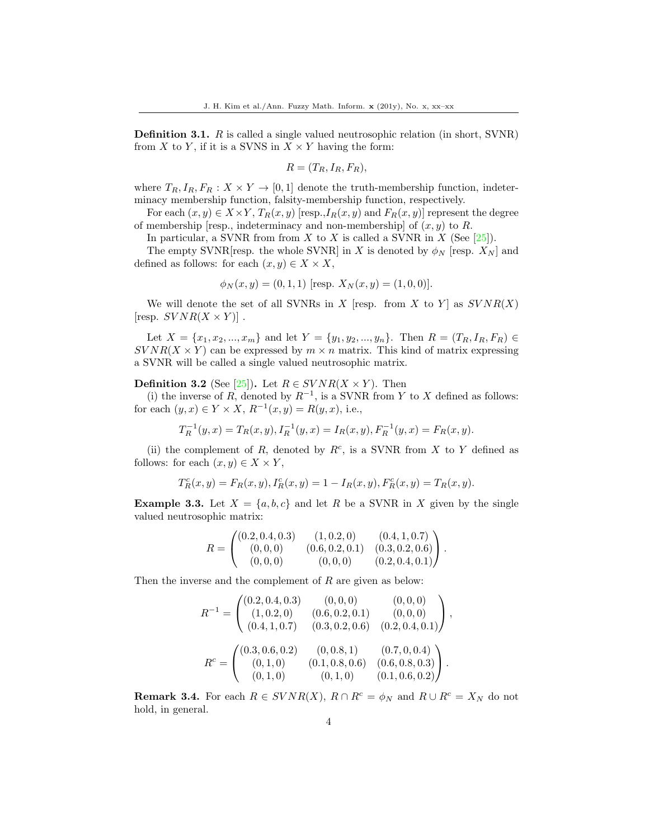Definition 3.1. R is called a single valued neutrosophic relation (in short, SVNR) from X to Y, if it is a SVNS in  $X \times Y$  having the form:

$$
R=(T_R,I_R,F_R),
$$

where  $T_R, I_R, F_R: X \times Y \to [0, 1]$  denote the truth-membership function, indeterminacy membership function, falsity-membership function, respectively.

For each  $(x, y) \in X \times Y$ ,  $T_R(x, y)$  [resp.,  $I_R(x, y)$  and  $F_R(x, y)$ ] represent the degree of membership [resp., indeterminacy and non-membership] of  $(x, y)$  to R.

In particular, a SVNR from from  $X$  to  $X$  is called a SVNR in  $X$  (See [\[25\]](#page-20-10)).

The empty SVNR resp. the whole SVNR in X is denoted by  $\phi_N$  [resp.  $X_N$ ] and defined as follows: for each  $(x, y) \in X \times X$ ,

$$
\phi_N(x, y) = (0, 1, 1)
$$
 [resp.  $X_N(x, y) = (1, 0, 0)$ ].

We will denote the set of all SVNRs in X [resp. from X to Y] as  $SVNR(X)$ [resp.  $SVNR(X \times Y)$ ].

Let  $X = \{x_1, x_2, ..., x_m\}$  and let  $Y = \{y_1, y_2, ..., y_n\}$ . Then  $R = (T_R, I_R, F_R) \in$  $SVR(X \times Y)$  can be expressed by  $m \times n$  matrix. This kind of matrix expressing a SVNR will be called a single valued neutrosophic matrix.

## **Definition 3.2** (See [\[25\]](#page-20-10)). Let  $R \in SVNR(X \times Y)$ . Then

(i) the inverse of R, denoted by  $R^{-1}$ , is a SVNR from Y to X defined as follows: for each  $(y, x) \in Y \times X$ ,  $R^{-1}(x, y) = R(y, x)$ , i.e.,

$$
T_R^{-1}(y, x) = T_R(x, y), I_R^{-1}(y, x) = I_R(x, y), F_R^{-1}(y, x) = F_R(x, y).
$$

(ii) the complement of  $R$ , denoted by  $R^c$ , is a SVNR from  $X$  to  $Y$  defined as follows: for each  $(x, y) \in X \times Y$ ,

$$
T^c_R(x,y) = F_R(x,y), \\ I^c_R(x,y) = 1 - I_R(x,y), \\ F^c_R(x,y) = T_R(x,y).
$$

**Example 3.3.** Let  $X = \{a, b, c\}$  and let R be a SVNR in X given by the single valued neutrosophic matrix:

$$
R = \begin{pmatrix} (0.2, 0.4, 0.3) & (1, 0.2, 0) & (0.4, 1, 0.7) \\ (0, 0, 0) & (0.6, 0.2, 0.1) & (0.3, 0.2, 0.6) \\ (0, 0, 0) & (0, 0, 0) & (0.2, 0.4, 0.1) \end{pmatrix}.
$$

Then the inverse and the complement of R are given as below:

$$
R^{-1} = \begin{pmatrix} (0.2, 0.4, 0.3) & (0, 0, 0) & (0, 0, 0) \\ (1, 0.2, 0) & (0.6, 0.2, 0.1) & (0, 0, 0) \\ (0.4, 1, 0.7) & (0.3, 0.2, 0.6) & (0.2, 0.4, 0.1) \end{pmatrix},
$$
  

$$
R^{c} = \begin{pmatrix} (0.3, 0.6, 0.2) & (0, 0.8, 1) & (0.7, 0, 0.4) \\ (0, 1, 0) & (0.1, 0.8, 0.6) & (0.6, 0.8, 0.3) \\ (0, 1, 0) & (0, 1, 0) & (0.1, 0.6, 0.2) \end{pmatrix}.
$$

**Remark 3.4.** For each  $R \in SVNR(X)$ ,  $R \cap R^c = \phi_N$  and  $R \cup R^c = X_N$  do not hold, in general.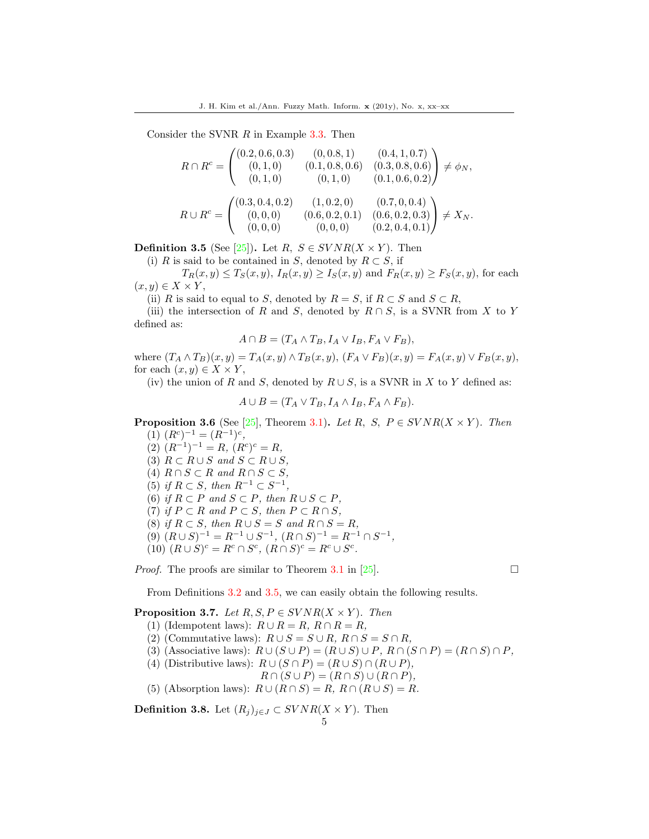Consider the SVNR R in Example 3.3. Then

$$
R \cap R^{c} = \begin{pmatrix} (0.2, 0.6, 0.3) & (0, 0.8, 1) & (0.4, 1, 0.7) \\ (0, 1, 0) & (0.1, 0.8, 0.6) & (0.3, 0.8, 0.6) \\ (0, 1, 0) & (0, 1, 0) & (0.1, 0.6, 0.2) \end{pmatrix} \neq \phi_{N},
$$
  

$$
R \cup R^{c} = \begin{pmatrix} (0.3, 0.4, 0.2) & (1, 0.2, 0) & (0.7, 0, 0.4) \\ (0, 0, 0) & (0.6, 0.2, 0.1) & (0.6, 0.2, 0.3) \\ (0, 0, 0) & (0, 0, 0) & (0.2, 0.4, 0.1) \end{pmatrix} \neq X_{N}.
$$

**Definition 3.5** (See [\[25\]](#page-20-10)). Let  $R, S \in SVNR(X \times Y)$ . Then

(i) R is said to be contained in S, denoted by  $R \subset S$ , if

 $T_R(x, y) \leq T_S(x, y)$ ,  $I_R(x, y) \geq I_S(x, y)$  and  $F_R(x, y) \geq F_S(x, y)$ , for each  $(x, y) \in X \times Y$ ,

(ii) R is said to equal to S, denoted by  $R = S$ , if  $R \subset S$  and  $S \subset R$ ,

(iii) the intersection of R and S, denoted by  $R \cap S$ , is a SVNR from X to Y defined as:

$$
A \cap B = (T_A \wedge T_B, I_A \vee I_B, F_A \vee F_B),
$$

where  $(T_A \wedge T_B)(x, y) = T_A(x, y) \wedge T_B(x, y)$ ,  $(F_A \vee F_B)(x, y) = F_A(x, y) \vee F_B(x, y)$ , for each  $(x, y) \in X \times Y$ ,

(iv) the union of R and S, denoted by  $R \cup S$ , is a SVNR in X to Y defined as:

$$
A \cup B = (T_A \vee T_B, I_A \wedge I_B, F_A \wedge F_B).
$$

**Proposition 3.6** (See [\[25\]](#page-20-10), Theorem 3.1). Let R, S,  $P \in SVNR(X \times Y)$ . Then  $(1)$   $(R^{c})^{-1} = (R^{-1})^{c}$ ,

- $(2)$   $(R^{-1})^{-1} = R$ ,  $(R^{c})^{c} = R$ ,
- (3)  $R \subset R \cup S$  and  $S \subset R \cup S$ ,
- (4)  $R \cap S \subset R$  and  $R \cap S \subset S$ ,
- (5) if  $R \subset S$ , then  $R^{-1} \subset S^{-1}$ ,
- (6) if  $R \subset P$  and  $S \subset P$ , then  $R \cup S \subset P$ ,
- (7) if  $P \subset R$  and  $P \subset S$ , then  $P \subset R \cap S$ ,
- (8) if  $R \subset S$ , then  $R \cup S = S$  and  $R \cap S = R$ ,
- $(9)$   $(R \cup S)^{-1} = R^{-1} \cup S^{-1}$ ,  $(R \cap S)^{-1} = R^{-1} \cap S^{-1}$ ,
- (10)  $(R \cup S)^c = R^c \cap S^c$ ,  $(R \cap S)^c = R^c \cup S^c$ .

*Proof.* The proofs are similar to Theorem 3.1 in [\[25\]](#page-20-10).

From Definitions 3.2 and 3.5, we can easily obtain the following results.

### **Proposition 3.7.** Let  $R, S, P \in SVNR(X \times Y)$ . Then

- (1) (Idempotent laws):  $R \cup R = R$ ,  $R \cap R = R$ ,
- (2) (Commutative laws):  $R \cup S = S \cup R$ ,  $R \cap S = S \cap R$ ,
- (3) (Associative laws):  $R \cup (S \cup P) = (R \cup S) \cup P$ ,  $R \cap (S \cap P) = (R \cap S) \cap P$ ,
- (4) (Distributive laws):  $R \cup (S \cap P) = (R \cup S) \cap (R \cup P)$ ,
	- $R \cap (S \cup P) = (R \cap S) \cup (R \cap P),$
- (5) (Absorption laws):  $R \cup (R \cap S) = R$ ,  $R \cap (R \cup S) = R$ .

**Definition 3.8.** Let  $(R_j)_{j\in J} \subset SVNR(X \times Y)$ . Then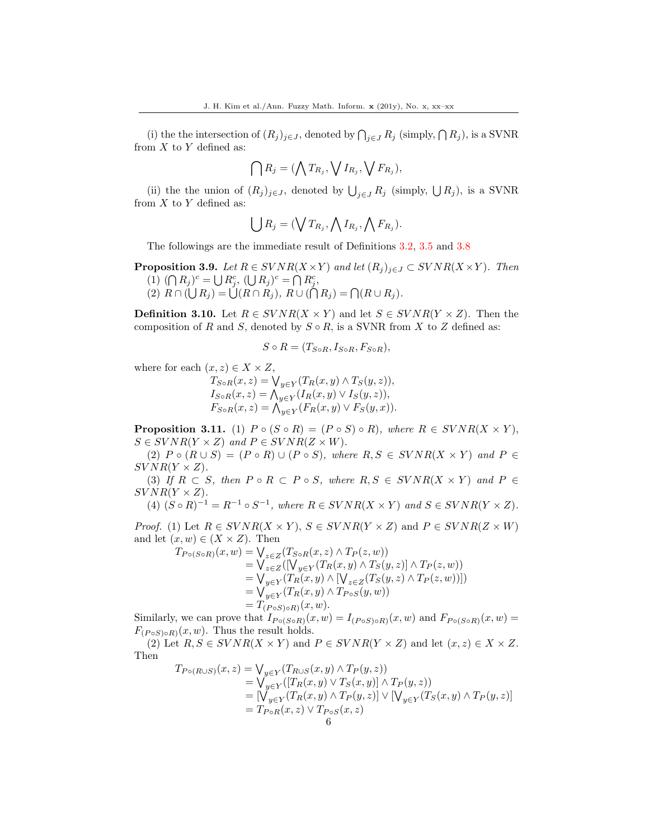(i) the the intersection of  $(R_j)_{j\in J}$ , denoted by  $\bigcap_{j\in J} R_j$  (simply,  $\bigcap R_j$ ), is a SVNR from  $X$  to  $Y$  defined as:

$$
\bigcap R_j = (\bigwedge T_{R_j}, \bigvee I_{R_j}, \bigvee F_{R_j}),
$$

(ii) the the union of  $(R_j)_{j\in J}$ , denoted by  $\bigcup_{j\in J} R_j$  (simply,  $\bigcup R_j$ ), is a SVNR from  $X$  to  $Y$  defined as:

$$
\bigcup R_j = (\bigvee T_{R_j}, \bigwedge I_{R_j}, \bigwedge F_{R_j}).
$$

The followings are the immediate result of Definitions 3.2, 3.5 and 3.8

**Proposition 3.9.** Let  $R \in SVNR(X \times Y)$  and let  $(R_j)_{j \in J} \subset SVNR(X \times Y)$ . Then (1)  $(\bigcap R_j)^c = \bigcup R_j^c$ ,  $(\bigcup R_j)^c = \bigcap R_j^c$ , (2)  $R \cap (\bigcup R_j) = \bigcup (R \cap R_j), R \cup (\bigcap R_j) = \bigcap (R \cup R_j).$ 

**Definition 3.10.** Let  $R \in SVNR(X \times Y)$  and let  $S \in SVNR(Y \times Z)$ . Then the composition of R and S, denoted by  $S \circ R$ , is a SVNR from X to Z defined as:

 $S \circ R = (T_{S \circ R}, I_{S \circ R}, F_{S \circ R}),$ 

where for each  $(x, z) \in X \times Z$ ,

 $T_{S\circ R}(x,z) = \bigvee_{y\in Y} (T_R(x,y) \wedge T_S(y,z)),$  $I_{S \circ R}(x, z) = \bigwedge_{y \in Y} (I_R(x, y) \vee I_S(y, z)),$  $F_{S \circ R}(x, z) = \bigwedge_{y \in Y} (F_R(x, y) \vee F_S(y, x)).$ 

**Proposition 3.11.** (1)  $P \circ (S \circ R) = (P \circ S) \circ R$ , where  $R \in SVNR(X \times Y)$ ,  $S \in SVNR(Y \times Z)$  and  $P \in SVNR(Z \times W)$ .

(2)  $P \circ (R \cup S) = (P \circ R) \cup (P \circ S)$ , where  $R, S \in SVNR(X \times Y)$  and  $P \in$  $SVNR(Y \times Z)$ .

(3) If  $R \subset S$ , then  $P \circ R \subset P \circ S$ , where  $R, S \in SVNR(X \times Y)$  and  $P \in$  $SVNR(Y \times Z)$ .

(4)  $(S \circ R)^{-1} = R^{-1} \circ S^{-1}$ , where  $R \in SVNR(X \times Y)$  and  $S \in SVNR(Y \times Z)$ .

*Proof.* (1) Let  $R \in SVNR(X \times Y)$ ,  $S \in SVNR(Y \times Z)$  and  $P \in SVNR(Z \times W)$ and let  $(x, w) \in (X \times Z)$ . Then

$$
T_{P \circ (S \circ R)}(x, w) = \bigvee_{z \in Z} (T_{S \circ R}(x, z) \land T_P(z, w))
$$
  
\n
$$
= \bigvee_{z \in Z} ([\bigvee_{y \in Y} (T_R(x, y) \land T_S(y, z)] \land T_P(z, w))
$$
  
\n
$$
= \bigvee_{y \in Y} (T_R(x, y) \land [\bigvee_{z \in Z} (T_S(y, z) \land T_P(z, w))])
$$
  
\n
$$
= \bigvee_{y \in Y} (T_R(x, y) \land T_{P \circ S}(y, w))
$$
  
\n
$$
= T_{(P \circ S) \circ R)}(x, w).
$$

Similarly, we can prove that  $I_{P \circ (S \circ R)}(x, w) = I_{(P \circ S) \circ R}(x, w)$  and  $F_{P \circ (S \circ R)}(x, w) =$  $F_{(P \circ S) \circ R)}(x, w)$ . Thus the result holds.

(2) Let  $R, S \in SVNR(X \times Y)$  and  $P \in SVNR(Y \times Z)$  and let  $(x, z) \in X \times Z$ . Then

$$
T_{P \circ (R \cup S)}(x, z) = \bigvee_{y \in Y} (T_{R \cup S}(x, y) \land T_P(y, z))
$$
  
=  $\bigvee_{y \in Y} ([T_R(x, y) \lor T_S(x, y)] \land T_P(y, z))$   
=  $[\bigvee_{y \in Y} (T_R(x, y) \land T_P(y, z)] \lor [\bigvee_{y \in Y} (T_S(x, y) \land T_P(y, z)]$   
=  $T_{P \circ R}(x, z) \lor T_{P \circ S}(x, z)$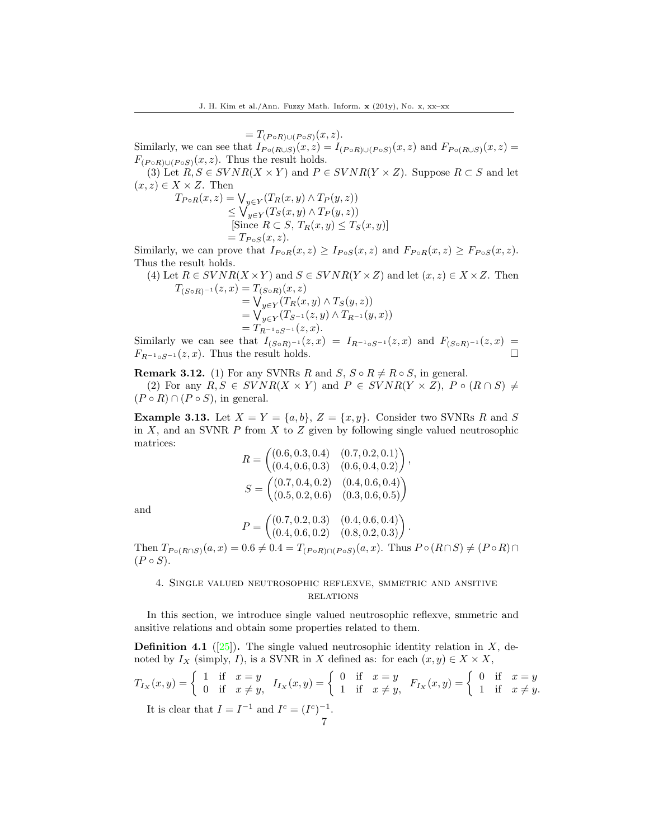$=T_{(P \circ R) \cup (P \circ S)}(x, z).$ Similarly, we can see that  $I_{P \circ (R \cup S)}(x, z) = I_{(P \circ R) \cup (P \circ S)}(x, z)$  and  $F_{P \circ (R \cup S)}(x, z) =$  $F_{(P \circ R) \cup (P \circ S)}(x, z)$ . Thus the result holds.

(3) Let  $R, S \in SVNR(X \times Y)$  and  $P \in SVNR(Y \times Z)$ . Suppose  $R \subset S$  and let  $(x, z) \in X \times Z$ . Then

$$
T_{P \circ R}(x, z) = \bigvee_{y \in Y} (T_R(x, y) \land T_P(y, z))
$$
  
\n
$$
\leq \bigvee_{y \in Y} (T_S(x, y) \land T_P(y, z))
$$
  
\n[Since  $R \subset S$ ,  $T_R(x, y) \leq T_S(x, y)$ ]  
\n
$$
= T_{P \circ S}(x, z).
$$

Similarly, we can prove that  $I_{PoR}(x, z) \geq I_{PoS}(x, z)$  and  $F_{PoR}(x, z) \geq F_{PoS}(x, z)$ . Thus the result holds.

(4) Let 
$$
R \in SVNR(X \times Y)
$$
 and  $S \in SVNR(Y \times Z)$  and let  $(x, z) \in X \times Z$ . Then  
\n
$$
T_{(S \circ R)^{-1}}(z, x) = T_{(S \circ R)}(x, z)
$$
\n
$$
= \bigvee_{y \in Y} (T_R(x, y) \land T_S(y, z))
$$
\n
$$
= \bigvee_{y \in Y} (T_{S^{-1}}(z, y) \land T_{R^{-1}}(y, x))
$$
\n
$$
= T_{R^{-1} \circ S^{-1}}(z, x).
$$

Similarly we can see that  $I_{(S \circ R)^{-1}}(z, x) = I_{R^{-1} \circ S^{-1}}(z, x)$  and  $F_{(S \circ R)^{-1}}(z, x) =$  $F_{R^{-1} \circ S^{-1}}(z, x)$ . Thus the result holds.

**Remark 3.12.** (1) For any SVNRs R and S,  $S \circ R \neq R \circ S$ , in general. (2) For any  $R, S \in SVNR(X \times Y)$  and  $P \in SVNR(Y \times Z)$ ,  $P \circ (R \cap S) \neq$  $(P \circ R) \cap (P \circ S)$ , in general.

**Example 3.13.** Let  $X = Y = \{a, b\}$ ,  $Z = \{x, y\}$ . Consider two SVNRs R and S in  $X$ , and an SVNR  $P$  from  $X$  to  $Z$  given by following single valued neutrosophic matrices:

$$
R = \begin{pmatrix} (0.6, 0.3, 0.4) & (0.7, 0.2, 0.1) \\ (0.4, 0.6, 0.3) & (0.6, 0.4, 0.2) \end{pmatrix},
$$
  

$$
S = \begin{pmatrix} (0.7, 0.4, 0.2) & (0.4, 0.6, 0.4) \\ (0.5, 0.2, 0.6) & (0.3, 0.6, 0.5) \end{pmatrix}
$$

and

$$
P = \begin{pmatrix} (0.7, 0.2, 0.3) & (0.4, 0.6, 0.4) \\ (0.4, 0.6, 0.2) & (0.8, 0.2, 0.3) \end{pmatrix}.
$$

Then  $T_{P \circ (R \cap S)}(a, x) = 0.6 \neq 0.4 = T_{(P \circ R) \cap (P \circ S)}(a, x)$ . Thus  $P \circ (R \cap S) \neq (P \circ R) \cap$  $(P \circ S)$ .

## 4. Single valued neutrosophic reflexve, smmetric and ansitive **RELATIONS**

In this section, we introduce single valued neutrosophic reflexve, smmetric and ansitive relations and obtain some properties related to them.

**Definition 4.1** ([\[25\]](#page-20-10)). The single valued neutrosophic identity relation in X, denoted by  $I_X$  (simply, I), is a SVNR in X defined as: for each  $(x, y) \in X \times X$ ,

$$
T_{I_X}(x,y) = \begin{cases} 1 & \text{if } x = y \\ 0 & \text{if } x \neq y, \end{cases} \quad I_{I_X}(x,y) = \begin{cases} 0 & \text{if } x = y \\ 1 & \text{if } x \neq y, \end{cases} \quad F_{I_X}(x,y) = \begin{cases} 0 & \text{if } x = y \\ 1 & \text{if } x \neq y. \end{cases}
$$
\nIt is clear that  $I = I^{-1}$  and  $I^c = (I^c)^{-1}$ .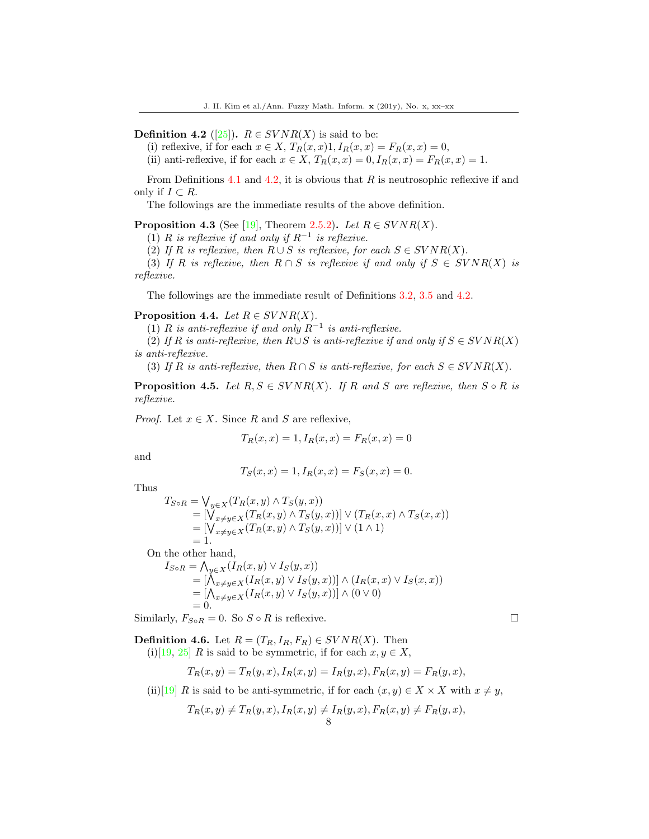**Definition 4.2** ([\[25\]](#page-20-10)).  $R \in SVNR(X)$  is said to be:

(i) reflexive, if for each  $x \in X$ ,  $T_R(x,x)1$ ,  $I_R(x,x) = F_R(x,x) = 0$ ,

(ii) anti-reflexive, if for each  $x \in X$ ,  $T_R(x,x) = 0$ ,  $I_R(x,x) = F_R(x,x) = 1$ .

From Definitions 4.1 and 4.2, it is obvious that  $R$  is neutrosophic reflexive if and only if  $I ⊂ R$ .

The followings are the immediate results of the above definition.

**Proposition 4.3** (See [\[19\]](#page-20-7), Theorem 2.5.2). Let  $R \in SVNR(X)$ .

(1) R is reflexive if and only if  $R^{-1}$  is reflexive.

(2) If R is reflexive, then  $R \cup S$  is reflexive, for each  $S \in SVNR(X)$ .

(3) If R is reflexive, then  $R \cap S$  is reflexive if and only if  $S \in SVNR(X)$  is reflexive.

The followings are the immediate result of Definitions 3.2, 3.5 and 4.2.

## **Proposition 4.4.** Let  $R \in SVNR(X)$ .

(1) R is anti-reflexive if and only  $R^{-1}$  is anti-reflexive.

(2) If R is anti-reflexive, then  $R \cup S$  is anti-reflexive if and only if  $S \in SVNR(X)$ is anti-reflexive.

(3) If R is anti-reflexive, then  $R \cap S$  is anti-reflexive, for each  $S \in SVNR(X)$ .

**Proposition 4.5.** Let  $R, S \in SVNR(X)$ . If R and S are reflexive, then  $S \circ R$  is reflexive.

*Proof.* Let  $x \in X$ . Since R and S are reflexive,

$$
T_R(x, x) = 1, I_R(x, x) = F_R(x, x) = 0
$$

and

$$
T_S(x, x) = 1, I_R(x, x) = F_S(x, x) = 0.
$$

Thus

$$
T_{S \circ R} = \bigvee_{y \in X} (T_R(x, y) \land T_S(y, x))
$$
  
= 
$$
[\bigvee_{x \neq y \in X} (T_R(x, y) \land T_S(y, x))] \lor (T_R(x, x) \land T_S(x, x))
$$
  
= 
$$
[\bigvee_{x \neq y \in X} (T_R(x, y) \land T_S(y, x))] \lor (1 \land 1)
$$
  
= 1.

On the other hand,

$$
I_{S \circ R} = \bigwedge_{y \in X} (I_R(x, y) \vee I_S(y, x))
$$
  
= 
$$
[\bigwedge_{x \neq y \in X} (I_R(x, y) \vee I_S(y, x))] \wedge (I_R(x, x) \vee I_S(x, x))
$$
  
= 
$$
[\bigwedge_{x \neq y \in X} (I_R(x, y) \vee I_S(y, x))] \wedge (0 \vee 0)
$$
  
= 0.

Similarly,  $F_{SoR} = 0$ . So  $S \circ R$  is reflexive.

**Definition 4.6.** Let  $R = (T_R, I_R, F_R) \in SVNR(X)$ . Then (i)[\[19,](#page-20-7) [25\]](#page-20-10) R is said to be symmetric, if for each  $x, y \in X$ ,

$$
T_R(x, y) = T_R(y, x), I_R(x, y) = I_R(y, x), F_R(x, y) = F_R(y, x),
$$

(ii)[\[19\]](#page-20-7) R is said to be anti-symmetric, if for each  $(x, y) \in X \times X$  with  $x \neq y$ ,

$$
T_R(x,y) \neq T_R(y,x), I_R(x,y) \neq I_R(y,x), F_R(x,y) \neq F_R(y,x),
$$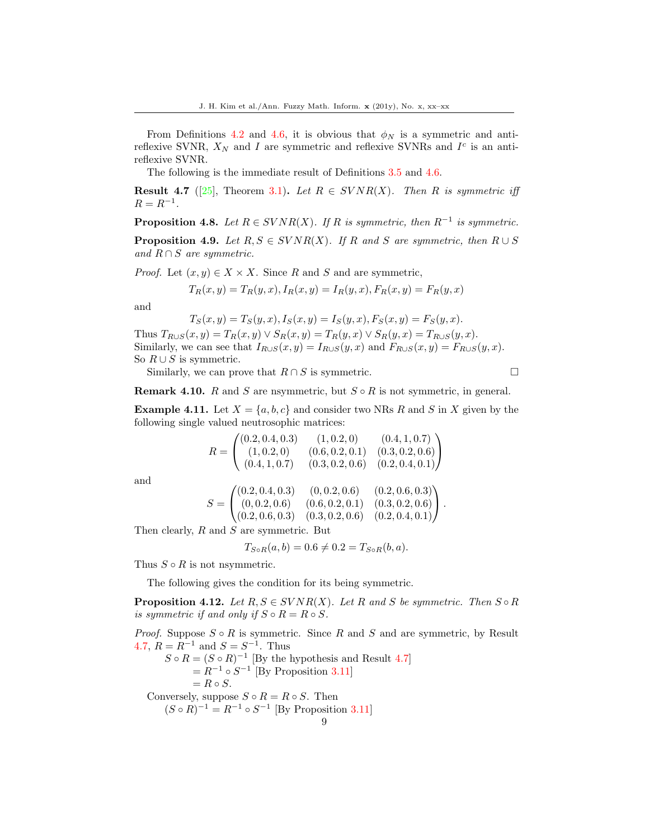From Definitions 4.2 and 4.6, it is obvious that  $\phi_N$  is a symmetric and antireflexive SVNR,  $X_N$  and I are symmetric and reflexive SVNRs and  $I<sup>c</sup>$  is an antireflexive SVNR.

The following is the immediate result of Definitions 3.5 and 4.6.

**Result 4.7** ([\[25\]](#page-20-10), Theorem 3.1). Let  $R \in SVNR(X)$ . Then R is symmetric iff  $R = R^{-1}$ .

**Proposition 4.8.** Let  $R \in SVNR(X)$ . If R is symmetric, then  $R^{-1}$  is symmetric.

**Proposition 4.9.** Let  $R, S \in SVNR(X)$ . If R and S are symmetric, then  $R \cup S$ and  $R \cap S$  are symmetric.

*Proof.* Let  $(x, y) \in X \times X$ . Since R and S and are symmetric,

$$
T_R(x, y) = T_R(y, x), I_R(x, y) = I_R(y, x), F_R(x, y) = F_R(y, x)
$$

and

$$
T_S(x, y) = T_S(y, x), I_S(x, y) = I_S(y, x), F_S(x, y) = F_S(y, x).
$$

Thus  $T_{R\cup S}(x, y) = T_R(x, y) \vee S_R(x, y) = T_R(y, x) \vee S_R(y, x) = T_{R\cup S}(y, x)$ . Similarly, we can see that  $I_{R\cup S}(x,y) = I_{R\cup S}(y,x)$  and  $F_{R\cup S}(x,y) = F_{R\cup S}(y,x)$ . So  $R \cup S$  is symmetric.

Similarly, we can prove that  $R \cap S$  is symmetric.

$$
\Box
$$

**Remark 4.10.** R and S are nsymmetric, but  $S \circ R$  is not symmetric, in general.

**Example 4.11.** Let  $X = \{a, b, c\}$  and consider two NRs R and S in X given by the following single valued neutrosophic matrices:

$$
R = \begin{pmatrix} (0.2, 0.4, 0.3) & (1, 0.2, 0) & (0.4, 1, 0.7) \\ (1, 0.2, 0) & (0.6, 0.2, 0.1) & (0.3, 0.2, 0.6) \\ (0.4, 1, 0.7) & (0.3, 0.2, 0.6) & (0.2, 0.4, 0.1) \end{pmatrix}
$$

and

$$
S = \begin{pmatrix} (0.2, 0.4, 0.3) & (0, 0.2, 0.6) & (0.2, 0.6, 0.3) \\ (0, 0.2, 0.6) & (0.6, 0.2, 0.1) & (0.3, 0.2, 0.6) \\ (0.2, 0.6, 0.3) & (0.3, 0.2, 0.6) & (0.2, 0.4, 0.1) \end{pmatrix}.
$$

Then clearly, R and S are symmetric. But

$$
T_{S \circ R}(a, b) = 0.6 \neq 0.2 = T_{S \circ R}(b, a).
$$

Thus  $S \circ R$  is not nsymmetric.

The following gives the condition for its being symmetric.

**Proposition 4.12.** Let  $R, S \in SVNR(X)$ . Let R and S be symmetric. Then  $S \circ R$ is symmetric if and only if  $S \circ R = R \circ S$ .

*Proof.* Suppose  $S \circ R$  is symmetric. Since R and S and are symmetric, by Result 4.7,  $R = R^{-1}$  and  $S = S^{-1}$ . Thus

 $S \circ R = (S \circ R)^{-1}$  [By the hypothesis and Result 4.7]  $= R^{-1} \circ S^{-1}$  [By Proposition 3.11]  $= R \circ S$ . Conversely, suppose  $S \circ R = R \circ S$ . Then

 $(S \circ R)^{-1} = R^{-1} \circ S^{-1}$  [By Proposition 3.11]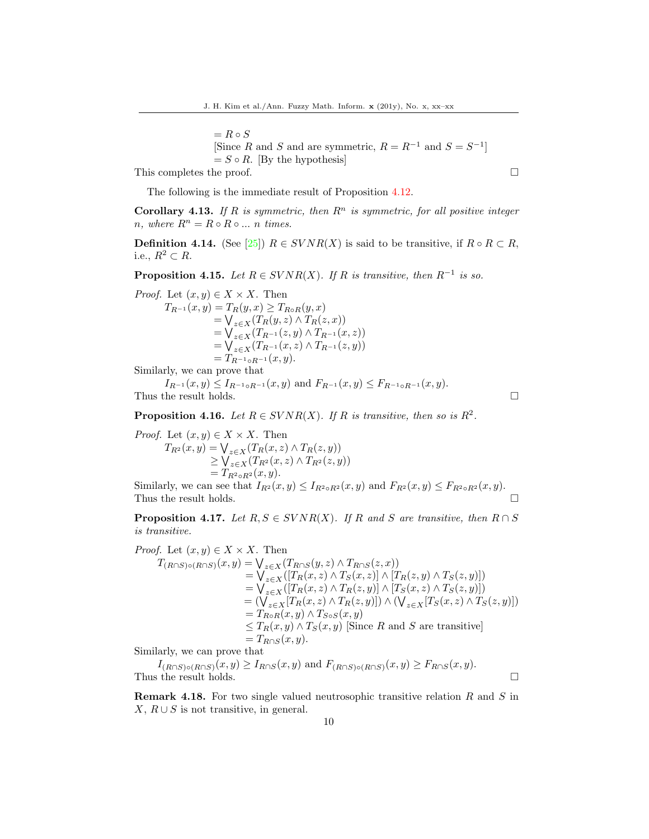$= R \circ S$ [Since R and S and are symmetric,  $R = R^{-1}$  and  $S = S^{-1}$ ]  $= S \circ R$ . [By the hypothesis]

This completes the proof.  $\Box$ 

The following is the immediate result of Proposition 4.12.

**Corollary 4.13.** If R is symmetric, then  $\mathbb{R}^n$  is symmetric, for all positive integer n, where  $R^n = R \circ R \circ ... \circ n$  times.

**Definition 4.14.** (See [\[25\]](#page-20-10))  $R \in SVNR(X)$  is said to be transitive, if  $R \circ R \subset R$ , i.e.,  $R^2 \subset R$ .

**Proposition 4.15.** Let  $R \in SVNR(X)$ . If R is transitive, then  $R^{-1}$  is so.

*Proof.* Let  $(x, y) \in X \times X$ . Then  $T_{R^{-1}}(x, y) = T_R(y, x) \geq T_{R \circ R}(y, x)$  $=\bigvee_{z\in X}(T_R(y,z)\wedge T_R(z,x))$  $=\bigvee_{z\in X}(T_{R^{-1}}(z,y)\wedge T_{R^{-1}}(x,z))$  $=\bigvee_{z\in X}(T_{R^{-1}}(x,z)\wedge T_{R^{-1}}(z,y))$  $=T_{R^{-1}\circ R^{-1}}(x, y).$ 

Similarly, we can prove that

 $I_{R^{-1}}(x, y) \leq I_{R^{-1} \circ R^{-1}}(x, y)$  and  $F_{R^{-1}}(x, y) \leq F_{R^{-1} \circ R^{-1}}(x, y)$ . Thus the result holds.  $\Box$ 

**Proposition 4.16.** Let  $R \in SVNR(X)$ . If R is transitive, then so is  $R^2$ .

*Proof.* Let  $(x, y) \in X \times X$ . Then  $T_{R^2}(x, y) = \bigvee_{z \in X} (T_R(x, z) \wedge T_R(z, y))$  $\geq \bigvee_{z \in X} (T_{R^2}(x, z) \wedge T_{R^2}(z, y))$  $=T_{R^2 \circ R^2}(x, y).$ 

Similarly, we can see that  $I_{R^2}(x, y) \leq I_{R^2 \circ R^2}(x, y)$  and  $F_{R^2}(x, y) \leq F_{R^2 \circ R^2}(x, y)$ . Thus the result holds.  $\Box$ 

**Proposition 4.17.** Let  $R, S \in SVNR(X)$ . If R and S are transitive, then  $R \cap S$ is transitive.

*Proof.* Let  $(x, y) \in X \times X$ . Then  $T_{(R\cap S)\circ(R\cap S)}(x,y) = \bigvee_{z\in X}(T_{R\cap S}(y,z)\wedge T_{R\cap S}(z,x))$  $=\bigvee_{z\in X}([T_R(x,z)\wedge T_S(x,z)]\wedge [T_R(z,y)\wedge T_S(z,y)])$  $=\bigvee_{z\in X}([T_R(x,z)\wedge T_R(z,y)]\wedge [T_S(x,z)\wedge T_S(z,y)])$  $=\left(\bigvee_{z\in X}[T_R(x,z)\wedge T_R(z,y)]\right)\wedge \left(\bigvee_{z\in X}[T_S(x,z)\wedge T_S(z,y)]\right)$  $=T_{R\circ R}(x, y) \wedge T_{S\circ S}(x, y)$  $\leq T_R(x,y) \wedge T_S(x,y)$  Since R and S are transitive  $=T_{R\cap S}(x, y).$ 

Similarly, we can prove that

 $I_{(R\cap S)\circ(R\cap S)}(x,y) \geq I_{R\cap S}(x,y)$  and  $F_{(R\cap S)\circ(R\cap S)}(x,y) \geq F_{R\cap S}(x,y)$ . Thus the result holds.  $\square$ 

**Remark 4.18.** For two single valued neutrosophic transitive relation  $R$  and  $S$  in  $X, R \cup S$  is not transitive, in general.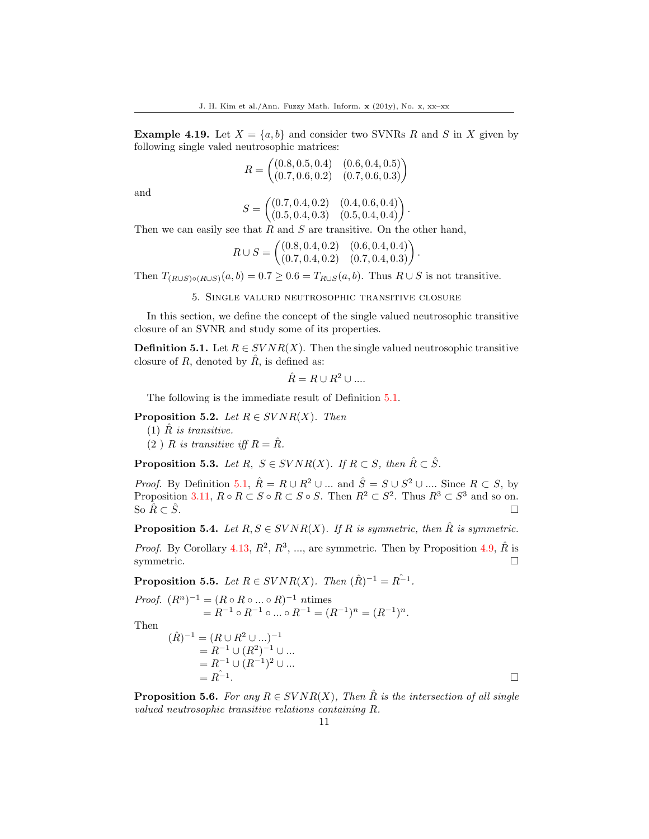**Example 4.19.** Let  $X = \{a, b\}$  and consider two SVNRs R and S in X given by following single valed neutrosophic matrices:

$$
R = \begin{pmatrix} (0.8, 0.5, 0.4) & (0.6, 0.4, 0.5) \\ (0.7, 0.6, 0.2) & (0.7, 0.6, 0.3) \end{pmatrix}
$$

and

$$
S = \begin{pmatrix} (0.7, 0.4, 0.2) & (0.4, 0.6, 0.4) \\ (0.5, 0.4, 0.3) & (0.5, 0.4, 0.4) \end{pmatrix}.
$$

Then we can easily see that  $R$  and  $S$  are transitive. On the other hand,

$$
R \cup S = \begin{pmatrix} (0.8, 0.4, 0.2) & (0.6, 0.4, 0.4) \\ (0.7, 0.4, 0.2) & (0.7, 0.4, 0.3) \end{pmatrix}.
$$

Then  $T_{(R\cup S)\circ (R\cup S)}(a, b) = 0.7 \ge 0.6 = T_{R\cup S}(a, b)$ . Thus  $R \cup S$  is not transitive.

5. Single valurd neutrosophic transitive closure

In this section, we define the concept of the single valued neutrosophic transitive closure of an SVNR and study some of its properties.

**Definition 5.1.** Let  $R \in SVNR(X)$ . Then the single valued neutrosophic transitive closure of R, denoted by  $\hat{R}$ , is defined as:

$$
\hat{R}=R\cup R^2\cup....
$$

The following is the immediate result of Definition 5.1.

## **Proposition 5.2.** Let  $R \in SVNR(X)$ . Then

 $(1)$   $\hat{R}$  is transitive.

 $(2)$  R is transitive iff  $R = \hat{R}$ .

**Proposition 5.3.** Let R,  $S \in SVNR(X)$ . If  $R \subset S$ , then  $\hat{R} \subset \hat{S}$ .

*Proof.* By Definition 5.1,  $\hat{R} = R \cup R^2 \cup ...$  and  $\hat{S} = S \cup S^2 \cup ...$  Since  $R \subset S$ , by Proposition 3.11,  $R \circ R \subset S \circ R \subset S \circ S$ . Then  $R^2 \subset S^2$ . Thus  $R^3 \subset S^3$  and so on. So  $\hat{R} \subset \hat{S}$ .

**Proposition 5.4.** Let  $R, S \in SVNR(X)$ . If R is symmetric, then  $\hat{R}$  is symmetric.

*Proof.* By Corollary 4.13,  $R^2$ ,  $R^3$ , ..., are symmetric. Then by Proposition 4.9,  $\hat{R}$  is symmetric.  $\Box$ 

**Proposition 5.5.** Let  $R \in SVNR(X)$ . Then  $(\hat{R})^{-1} = \hat{R^{-1}}$ .

*Proof.* 
$$
(R^n)^{-1} = (R \circ R \circ ... \circ R)^{-1}
$$
ntimes  
=  $R^{-1} \circ R^{-1} \circ ... \circ R^{-1} = (R^{-1})^n = (R^{-1})^n$ .

Then

$$
(\hat{R})^{-1} = (R \cup R^2 \cup ...)^{-1}
$$
  
= R<sup>-1</sup> \cup (R<sup>2</sup>)<sup>-1</sup> \cup ...  
= R<sup>-1</sup> \cup (R<sup>-1</sup>)<sup>2</sup> \cup ...  
= R<sup>\hat{i}</sup>

**Proposition 5.6.** For any  $R \in SVNR(X)$ , Then  $\hat{R}$  is the intersection of all single valued neutrosophic transitive relations containing R.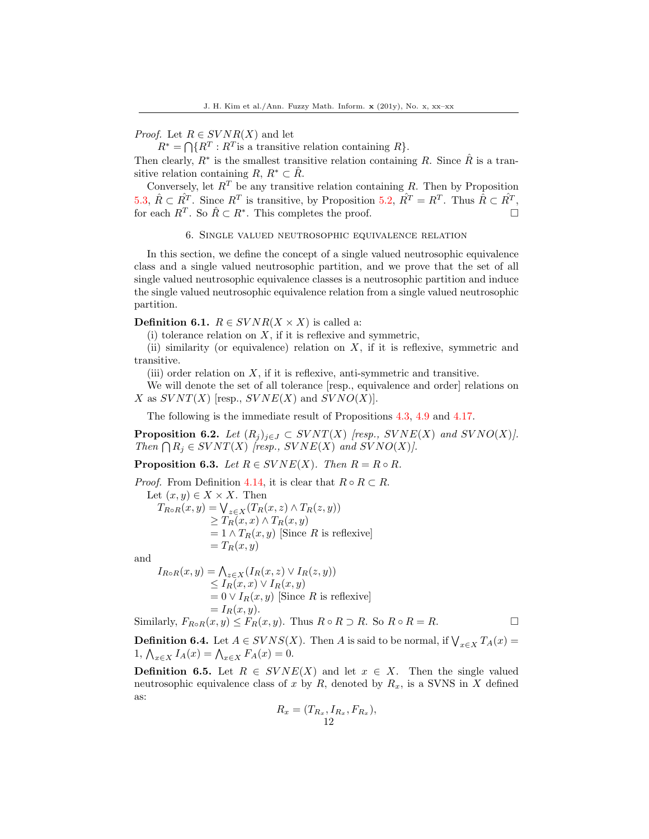## *Proof.* Let  $R \in SVNR(X)$  and let

 $R^* = \bigcap \{R^T : R^T$  is a transitive relation containing  $R\}.$ 

Then clearly,  $R^*$  is the smallest transitive relation containing R. Since  $\hat{R}$  is a transitive relation containing  $R, R^* \subset \hat{R}$ .

Conversely, let  $R^T$  be any transitive relation containing R. Then by Proposition 5.3,  $\hat{R} \subset \hat{R}^T$ . Since  $R^T$  is transitive, by Proposition 5.2,  $\hat{R}^T = R^T$ . Thus  $\hat{R} \subset \hat{R}^T$ , for each  $R^T$ . So  $\hat{R} \subset R^*$ . This completes the proof.

6. Single valued neutrosophic equivalence relation

In this section, we define the concept of a single valued neutrosophic equivalence class and a single valued neutrosophic partition, and we prove that the set of all single valued neutrosophic equivalence classes is a neutrosophic partition and induce the single valued neutrosophic equivalence relation from a single valued neutrosophic partition.

**Definition 6.1.**  $R \in SVNR(X \times X)$  is called a:

 $(i)$  tolerance relation on X, if it is reflexive and symmetric,

(ii) similarity (or equivalence) relation on X, if it is reflexive, symmetric and transitive.

(iii) order relation on  $X$ , if it is reflexive, anti-symmetric and transitive.

We will denote the set of all tolerance [resp., equivalence and order] relations on X as  $SVNT(X)$  [resp.,  $SVNE(X)$  and  $SVNO(X)$ ].

The following is the immediate result of Propositions 4.3, 4.9 and 4.17.

**Proposition 6.2.** Let  $(R_j)_{j\in J} \subset SVNT(X)$  [resp.,  $SVNE(X)$  and  $SVNO(X)$ ]. Then  $\bigcap R_j \in SVNT(X)$  [resp.,  $SVNE(X)$  and  $SVNO(X)$ ].

**Proposition 6.3.** Let  $R \in SVNE(X)$ . Then  $R = R \circ R$ .

*Proof.* From Definition 4.14, it is clear that  $R \circ R \subset R$ .

Let  $(x, y) \in X \times X$ . Then  $T_{R\circ R}(x,y) = \bigvee_{z\in X} (T_R(x,z) \wedge T_R(z,y))$  $\geq T_R(x,x) \wedge T_R(x,y)$  $= 1 \wedge T_R(x, y)$  [Since R is reflexive]  $=T_R(x, y)$ 

and

$$
I_{R \circ R}(x, y) = \bigwedge_{z \in X} (I_R(x, z) \vee I_R(z, y))
$$
  
\n
$$
\leq I_R(x, x) \vee I_R(x, y)
$$
  
\n
$$
= 0 \vee I_R(x, y)
$$
 [Since *R* is reflexive]  
\n
$$
= I_R(x, y).
$$
  
\nSimilarly,  $F_{R \circ R}(x, y) \leq F_R(x, y)$ . Thus  $R \circ R \supset R$ . So  $R \circ R = R$ .

**Definition 6.4.** Let  $A \in SVNS(X)$ . Then A is said to be normal, if  $\bigvee_{x \in X} T_A(x) =$ 1,  $\bigwedge_{x \in X} I_A(x) = \bigwedge_{x \in X} F_A(x) = 0.$ 

**Definition 6.5.** Let  $R \in SVNE(X)$  and let  $x \in X$ . Then the single valued neutrosophic equivalence class of x by R, denoted by  $R_x$ , is a SVNS in X defined as:

$$
R_x = (T_{R_x}, I_{R_x}, F_{R_x}),
$$
  
12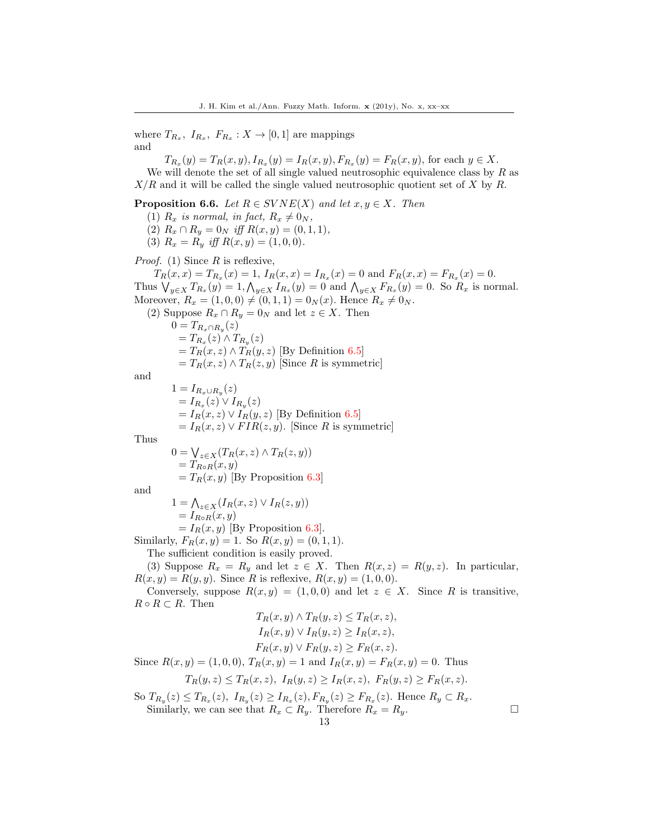where  $T_{R_x}, I_{R_x}, F_{R_x}: X \to [0,1]$  are mappings and

 $T_{R_x}(y) = T_R(x, y), I_{R_x}(y) = I_R(x, y), F_{R_x}(y) = F_R(x, y),$  for each  $y \in X$ . We will denote the set of all single valued neutrosophic equivalence class by  $R$  as  $X/R$  and it will be called the single valued neutrosophic quotient set of X by R.

**Proposition 6.6.** Let  $R \in SVNE(X)$  and let  $x, y \in X$ . Then

- (1)  $R_x$  is normal, in fact,  $R_x \neq 0_N$ ,
- (2)  $R_x \cap R_y = 0_N$  iff  $R(x, y) = (0, 1, 1),$
- (3)  $R_x = R_y$  iff  $R(x, y) = (1, 0, 0)$ .

*Proof.* (1) Since  $R$  is reflexive,

 $T_R(x,x) = T_{R_x}(x) = 1, I_R(x,x) = I_{R_x}(x) = 0$  and  $F_R(x,x) = F_{R_x}(x) = 0$ . Thus  $\bigvee_{y\in X} T_{R_x}(y) = 1, \bigwedge_{y\in X} I_{R_x}(y) = 0$  and  $\bigwedge_{y\in X} F_{R_x}(y) = 0$ . So  $R_x$  is normal. Moreover,  $R_x = (1, 0, 0) \neq (0, 1, 1) = 0_N(x)$ . Hence  $R_x \neq 0_N$ . (2) Suppose  $R_x \cap R_y = 0_N$  and let  $z \in X$ . Then

 $0=T_{R_x\cap R_y}(z)$  $=T_{R_x}(z) \wedge T_{R_y}(z)$  $=T_R(x, z) \wedge T_R(y, z)$  [By Definition 6.5]  $=T_R(x, z) \wedge T_R(z, y)$  [Since R is symmetric] and  $1 = I_{R_x \cup R_y}(z)$ 

 $= I_{R_x}(z) \vee I_{R_y}(z)$  $= I_R(x, z) \vee I_R(y, z)$  [By Definition 6.5]  $= I_R(x, z) \vee FIR(z, y)$ . [Since R is symmetric]

Thus

$$
0 = \bigvee_{z \in X} (T_R(x, z) \land T_R(z, y))
$$
  
=  $T_{R \circ R}(x, y)$   
=  $T_R(x, y)$  [By Proposition 6.3]

and

 $1 = \bigwedge_{z \in X} (I_R(x, z) \vee I_R(z, y))$  $= I_{R\circ R}(x, y)$  $= I_R(x, y)$  [By Proposition 6.3].

Similarly,  $F_R(x, y) = 1$ . So  $R(x, y) = (0, 1, 1)$ .

The sufficient condition is easily proved.

(3) Suppose  $R_x = R_y$  and let  $z \in X$ . Then  $R(x, z) = R(y, z)$ . In particular,  $R(x, y) = R(y, y)$ . Since R is reflexive,  $R(x, y) = (1, 0, 0)$ .

Conversely, suppose  $R(x, y) = (1, 0, 0)$  and let  $z \in X$ . Since R is transitive,  $R \circ R \subset R$ . Then  $\lambda$ ,  $\pi$  ( $\lambda$   $\geq$   $\pi$ )

$$
T_R(x, y) \land T_R(y, z) \le T_R(x, z),
$$

$$
I_R(x, y) \lor I_R(y, z) \ge I_R(x, z),
$$

$$
F_R(x, y) \lor F_R(y, z) \ge F_R(x, z).
$$
Since  $R(x, y) = (1, 0, 0), T_R(x, y) = 1$  and  $I_R(x, y) = F_R(x, y) = 0$ . Thus

 $T_R(y, z) \leq T_R(x, z), I_R(y, z) \geq I_R(x, z), F_R(y, z) \geq F_R(x, z).$ 

So  $T_{R_y}(z) \le T_{R_x}(z)$ ,  $I_{R_y}(z) \ge I_{R_x}(z)$ ,  $F_{R_y}(z) \ge F_{R_x}(z)$ . Hence  $R_y \subset R_x$ . Similarly, we can see that  $R_x \subset R_y$ . Therefore  $R_x = R_y$ .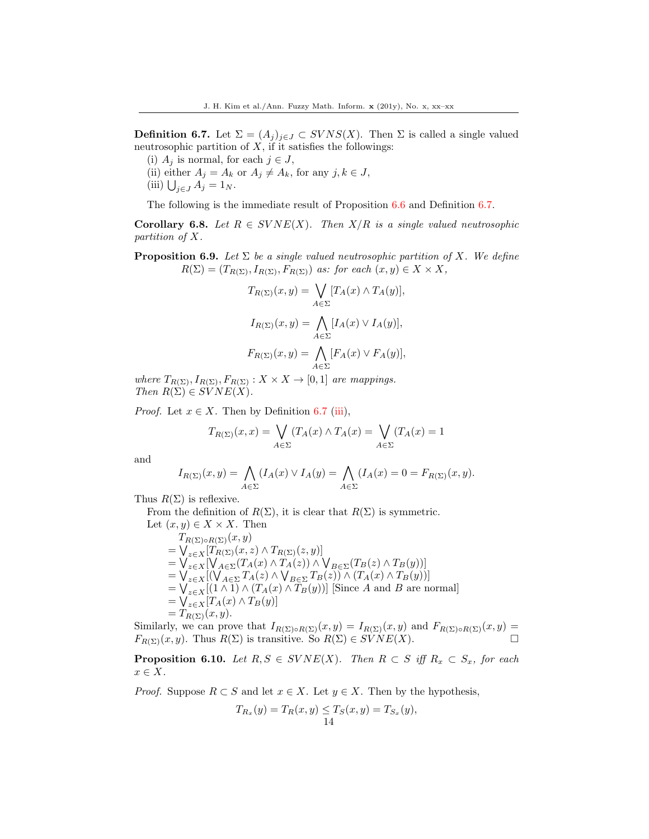**Definition 6.7.** Let  $\Sigma = (A_i)_{i \in J} \subset SVNS(X)$ . Then  $\Sigma$  is called a single valued neutrosophic partition of  $X$ , if it satisfies the followings:

(i)  $A_j$  is normal, for each  $j \in J$ ,

(ii) either  $A_j = A_k$  or  $A_j \neq A_k$ , for any  $j, k \in J$ ,

(iii)  $\bigcup_{j\in J} A_j = 1_N$ .

The following is the immediate result of Proposition 6.6 and Definition 6.7.

**Corollary 6.8.** Let  $R \in SVNE(X)$ . Then  $X/R$  is a single valued neutrosophic partition of X.

**Proposition 6.9.** Let  $\Sigma$  be a single valued neutrosophic partition of X. We define  $R(\Sigma) = (T_{R(\Sigma)}, I_{R(\Sigma)}, F_{R(\Sigma)})$  as: for each  $(x, y) \in X \times X$ ,

$$
T_{R(\Sigma)}(x, y) = \bigvee_{A \in \Sigma} [T_A(x) \wedge T_A(y)],
$$
  

$$
I_{R(\Sigma)}(x, y) = \bigwedge_{A \in \Sigma} [I_A(x) \vee I_A(y)],
$$
  

$$
F_{R(\Sigma)}(x, y) = \bigwedge_{A \in \Sigma} [F_A(x) \vee F_A(y)],
$$

where  $T_{R(\Sigma)}, I_{R(\Sigma)}, F_{R(\Sigma)} : X \times X \to [0,1]$  are mappings. Then  $R(\Sigma) \in SVNE(X)$ .

*Proof.* Let  $x \in X$ . Then by Definition 6.7 (iii),

$$
T_{R(\Sigma)}(x,x) = \bigvee_{A \in \Sigma} (T_A(x) \wedge T_A(x)) = \bigvee_{A \in \Sigma} (T_A(x)) = 1
$$

and

$$
I_{R(\Sigma)}(x,y) = \bigwedge_{A \in \Sigma} (I_A(x) \vee I_A(y)) = \bigwedge_{A \in \Sigma} (I_A(x)) = 0 = F_{R(\Sigma)}(x,y).
$$

Thus  $R(\Sigma)$  is reflexive.

From the definition of  $R(\Sigma)$ , it is clear that  $R(\Sigma)$  is symmetric.

Let  $(x, y) \in X \times X$ . Then  $T_{R(\Sigma)\circ R(\Sigma)}(x,y)$  $=\bigvee_{z\in X}[T_{R(\Sigma)}(x,z)\wedge T_{R(\Sigma)}(z,y)]$ =  $\bigvee_{z \in X} [\bigvee_{A \in \Sigma} (T_A(x) \wedge T_A(z)) \wedge \bigvee_{B \in \Sigma} (T_B(z) \wedge T_B(y))]$  $=\bigvee_{z\in X}[(\bigvee_{A\in\Sigma}T_A(z)\wedge\bigvee_{B\in\Sigma}T_B(z))\wedge(T_A(x)\wedge T_B(y))]$  $=\bigvee_{z\in X}[(1\wedge 1)\wedge (T_A(x)\wedge T_B(y))]$  [Since A and B are normal]  $=\bigvee_{z\in X}[T_A(x)\wedge T_B(y)]$  $=T_{R(\Sigma)}(x, y).$ 

Similarly, we can prove that  $I_{R(\Sigma) \circ R(\Sigma)}(x, y) = I_{R(\Sigma)}(x, y)$  and  $F_{R(\Sigma) \circ R(\Sigma)}(x, y) =$  $F_{R(\Sigma)}(x, y)$ . Thus  $R(\Sigma)$  is transitive. So  $R(\Sigma) \in \widetilde{SVNE}(X)$ .

**Proposition 6.10.** Let  $R, S \in SVNE(X)$ . Then  $R \subset S$  iff  $R_x \subset S_x$ , for each  $x \in X$ .

*Proof.* Suppose  $R \subset S$  and let  $x \in X$ . Let  $y \in X$ . Then by the hypothesis,

$$
T_{R_x}(y) = T_R(x, y) \le T_S(x, y) = T_{S_x}(y),
$$
  
14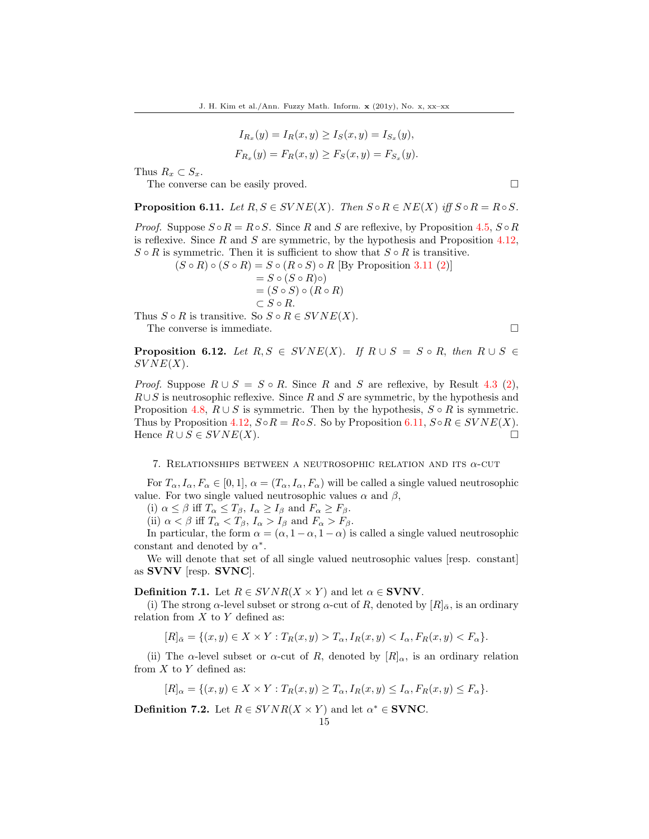$$
I_{R_x}(y) = I_R(x, y) \ge I_S(x, y) = I_{S_x}(y),
$$
  
\n
$$
F_{R_x}(y) = F_R(x, y) \ge F_S(x, y) = F_{S_x}(y).
$$

Thus  $R_x \subset S_x$ .

The converse can be easily proved.

**Proposition 6.11.** Let  $R, S \in SVNE(X)$ . Then  $S \circ R \in NE(X)$  iff  $S \circ R = R \circ S$ .

*Proof.* Suppose  $S \circ R = R \circ S$ . Since R and S are reflexive, by Proposition 4.5,  $S \circ R$ is reflexive. Since  $R$  and  $S$  are symmetric, by the hypothesis and Proposition 4.12,  $S \circ R$  is symmetric. Then it is sufficient to show that  $S \circ R$  is transitive.

 $(S \circ R) \circ (S \circ R) = S \circ (R \circ S) \circ R$  [By Proposition 3.11 (2)]  $= S \circ (S \circ R) \circ )$  $=(S \circ S) \circ (R \circ R)$  $\subset$   $S$   $\circ$   $R.$ 

Thus  $S \circ R$  is transitive. So  $S \circ R \in SVNE(X)$ .

The converse is immediate.  $\Box$ 

**Proposition 6.12.** Let  $R, S \in SVNE(X)$ . If  $R \cup S = S \circ R$ , then  $R \cup S \in$  $SVNE(X)$ .

*Proof.* Suppose  $R \cup S = S \circ R$ . Since R and S are reflexive, by Result 4.3 (2),  $R\cup S$  is neutrosophic reflexive. Since R and S are symmetric, by the hypothesis and Proposition 4.8,  $R \cup S$  is symmetric. Then by the hypothesis,  $S \circ R$  is symmetric. Thus by Proposition 4.12,  $S \circ R = R \circ S$ . So by Proposition 6.11,  $S \circ R \in SVNE(X)$ . Hence  $R \cup S \in SVNE(X)$ .

#### 7. RELATIONSHIPS BETWEEN A NEUTROSOPHIC RELATION AND ITS  $\alpha$ -CUT

For  $T_{\alpha}, I_{\alpha}, F_{\alpha} \in [0, 1], \alpha = (T_{\alpha}, I_{\alpha}, F_{\alpha})$  will be called a single valued neutrosophic value. For two single valued neutrosophic values  $\alpha$  and  $\beta$ ,

(i)  $\alpha \leq \beta$  iff  $T_{\alpha} \leq T_{\beta}, I_{\alpha} \geq I_{\beta}$  and  $F_{\alpha} \geq F_{\beta}$ .

(ii)  $\alpha < \beta$  iff  $T_{\alpha} < T_{\beta}$ ,  $I_{\alpha} > I_{\beta}$  and  $F_{\alpha} > F_{\beta}$ .

In particular, the form  $\alpha = (\alpha, 1 - \alpha, 1 - \alpha)$  is called a single valued neutrosophic constant and denoted by  $\alpha^*$ .

We will denote that set of all single valued neutrosophic values [resp. constant] as SVNV [resp. SVNC].

**Definition 7.1.** Let  $R \in SVNR(X \times Y)$  and let  $\alpha \in SVNV$ .

(i) The strong  $\alpha$ -level subset or strong  $\alpha$ -cut of R, denoted by  $[R]_{\bar{\alpha}}$ , is an ordinary relation from  $X$  to  $Y$  defined as:

 $[R]_{\bar{\alpha}} = \{(x, y) \in X \times Y : T_R(x, y) > T_{\alpha}, I_R(x, y) < I_{\alpha}, F_R(x, y) < F_{\alpha}\}.$ 

(ii) The  $\alpha$ -level subset or  $\alpha$ -cut of R, denoted by  $[R]_{\alpha}$ , is an ordinary relation from  $X$  to  $Y$  defined as:

$$
[R]_{\alpha} = \{(x, y) \in X \times Y : T_R(x, y) \ge T_{\alpha}, I_R(x, y) \le I_{\alpha}, F_R(x, y) \le F_{\alpha}\}.
$$

**Definition 7.2.** Let  $R \in SVNR(X \times Y)$  and let  $\alpha^* \in \textbf{SVMC}$ .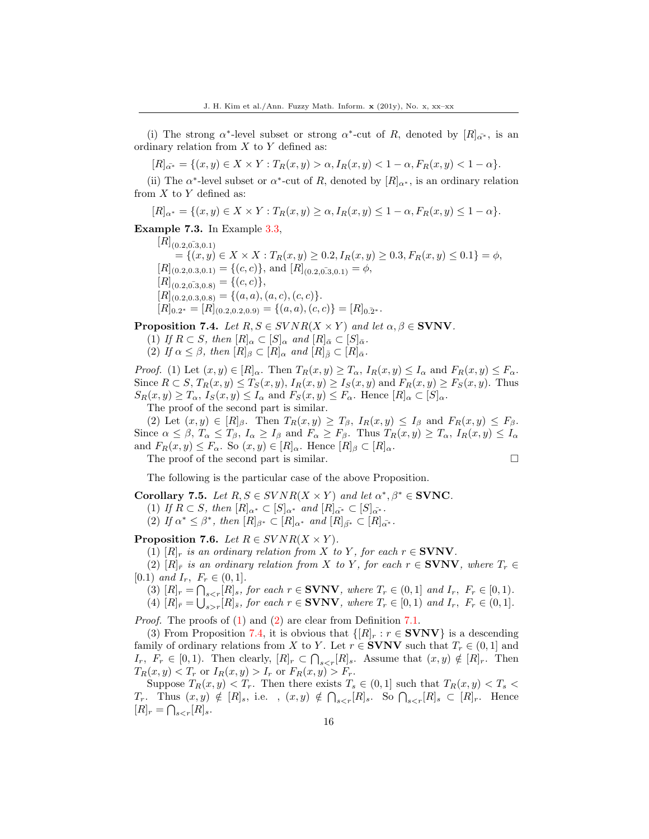(i) The strong  $\alpha^*$ -level subset or strong  $\alpha^*$ -cut of R, denoted by  $[R]_{\alpha^*}$ , is an ordinary relation from  $X$  to  $Y$  defined as:

 $[R]_{\alpha^*} = \{(x, y) \in X \times Y : T_R(x, y) > \alpha, I_R(x, y) < 1 - \alpha, F_R(x, y) < 1 - \alpha\}.$ 

(ii) The  $\alpha^*$ -level subset or  $\alpha^*$ -cut of R, denoted by  $[R]_{\alpha^*}$ , is an ordinary relation from  $X$  to  $Y$  defined as:

$$
[R]_{\alpha^*} = \{(x, y) \in X \times Y : T_R(x, y) \ge \alpha, I_R(x, y) \le 1 - \alpha, F_R(x, y) \le 1 - \alpha\}.
$$

Example 7.3. In Example 3.3,

 $[R]_{(0.2, 0.3, 0.1)}$  $=\{(x, y) \in X \times X : T_R(x, y) \geq 0.2, I_R(x, y) \geq 0.3, F_R(x, y) \leq 0.1\} = \phi,$  $[R]_{(0.2, 0.3, 0.1)} = \{(c, c)\}, \text{ and } [R]_{(0.2, 0.3, 0.1)} = \emptyset,$  $[R]_{(0.2, 0.3, 0.8)} = \{(c, c)\},\$  $[R]_{(0.2, 0.3, 0.8)} = \{(a, a), (a, c), (c, c)\}.$  $[R]_{0.2^*} = [R]_{(0.2, 0.2, 0.9)} = \{(a, a), (c, c)\} = [R]_{0.2^*}.$ 

**Proposition 7.4.** Let  $R, S \in SVNR(X \times Y)$  and let  $\alpha, \beta \in SVNV$ .

- (1) If  $R \subset S$ , then  $[R]_{\alpha} \subset [S]_{\alpha}$  and  $[R]_{\bar{\alpha}} \subset [S]_{\bar{\alpha}}$ .
- (2) If  $\alpha \leq \beta$ , then  $[R]_{\beta} \subset [R]_{\alpha}$  and  $[R]_{\overline{\beta}} \subset [R]_{\overline{\alpha}}$ .

*Proof.* (1) Let  $(x, y) \in [R]_{\alpha}$ . Then  $T_R(x, y) \geq T_{\alpha}$ ,  $I_R(x, y) \leq I_{\alpha}$  and  $F_R(x, y) \leq F_{\alpha}$ . Since  $R \subset S$ ,  $T_R(x, y) \leq T_S(x, y)$ ,  $I_R(x, y) \geq I_S(x, y)$  and  $F_R(x, y) \geq F_S(x, y)$ . Thus  $S_R(x, y) \geq T_\alpha$ ,  $I_S(x, y) \leq I_\alpha$  and  $F_S(x, y) \leq F_\alpha$ . Hence  $[R]_\alpha \subset [S]_\alpha$ .

The proof of the second part is similar.

(2) Let  $(x, y) \in [R]_{\beta}$ . Then  $T_R(x, y) \geq T_{\beta}$ ,  $I_R(x, y) \leq I_{\beta}$  and  $F_R(x, y) \leq F_{\beta}$ . Since  $\alpha \leq \beta$ ,  $T_{\alpha} \leq T_{\beta}$ ,  $I_{\alpha} \geq I_{\beta}$  and  $F_{\alpha} \geq F_{\beta}$ . Thus  $T_R(x, y) \geq T_{\alpha}$ ,  $I_R(x, y) \leq I_{\alpha}$ and  $F_R(x, y) \leq F_\alpha$ . So  $(x, y) \in [R]_\alpha$ . Hence  $[R]_\beta \subset [R]_\alpha$ .

The proof of the second part is similar.

$$
\Box
$$

The following is the particular case of the above Proposition.

Corollary 7.5. Let  $R, S \in SVNR(X \times Y)$  and let  $\alpha^*, \beta^* \in \textbf{SVMC}$ .

(1) If  $R \subset S$ , then  $[R]_{\alpha^*} \subset [S]_{\alpha^*}$  and  $[R]_{\alpha^*} \subset [S]_{\alpha^*}$ .

(2) If  $\alpha^* \leq \beta^*$ , then  $[R]_{\beta^*} \subset [R]_{\alpha^*}$  and  $[R]_{\bar{\beta^*}} \subset [R]_{\alpha^*}$ .

**Proposition 7.6.** Let  $R \in SVNR(X \times Y)$ .

(1)  $[R]_r$  is an ordinary relation from X to Y, for each  $r \in \text{SVNV}$ .

(2)  $[R]_r$  is an ordinary relation from X to Y, for each  $r \in \text{SVNV}$ , where  $T_r \in$ [0.1) and  $I_r$ ,  $F_r \in (0,1]$ .

- (3)  $[R]_r = \bigcap_{s \leq r} [R]_s$ , for each  $r \in \text{SVNV}$ , where  $T_r \in (0, 1]$  and  $I_r$ ,  $F_r \in [0, 1)$ .
- (4)  $[R]_{\bar{r}} = \bigcup_{s>r} [R]_{\bar{s}}$ , for each  $r \in \text{SVNV}$ , where  $T_r \in [0, 1)$  and  $I_r$ ,  $F_r \in (0, 1]$ .

Proof. The proofs of (1) and (2) are clear from Definition 7.1.

(3) From Proposition 7.4, it is obvious that  $\{[R]_r : r \in \text{SVNV}\}\$ is a descending family of ordinary relations from X to Y. Let  $r \in \mathbf{SVNV}$  such that  $T_r \in (0,1]$  and  $I_r$ ,  $F_r \in [0,1)$ . Then clearly,  $[R]_r \subset \bigcap_{s \leq r} [R]_s$ . Assume that  $(x, y) \notin [R]_r$ . Then  $T_R(x, y) < T_r$  or  $I_R(x, y) > I_r$  or  $F_R(x, y) > F_r$ .

Suppose  $T_R(x, y) < T_r$ . Then there exists  $T_s \in (0, 1]$  such that  $T_R(x, y) < T_s$ T<sub>r</sub>. Thus  $(x, y) \notin [R]_s$ , i.e.,  $(x, y) \notin \bigcap_{s \leq r} [R]_s$ . So  $\bigcap_{s \leq r} [R]_s \subset [R]_r$ . Hence  $[R]_r = \bigcap_{s < r} [R]_s.$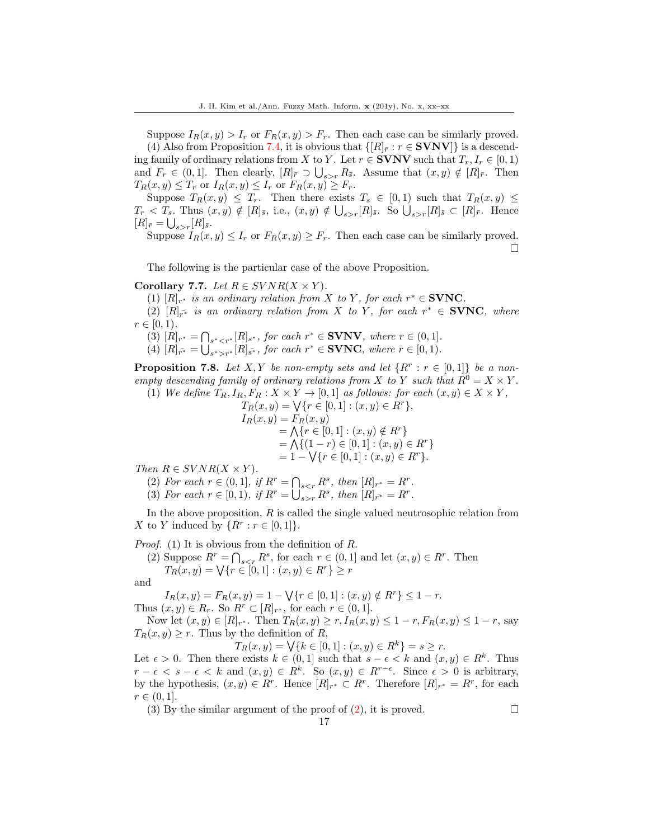Suppose  $I_R(x, y) > I_r$  or  $F_R(x, y) > F_r$ . Then each case can be similarly proved.

(4) Also from Proposition 7.4, it is obvious that  $\{[R]_r : r \in \text{SVNV}\}\;$  is a descending family of ordinary relations from X to Y. Let  $r \in \text{SVNV}$  such that  $T_r, I_r \in [0, 1)$ and  $F_r \in (0,1]$ . Then clearly,  $[R]_{\bar{r}} \supset \bigcup_{s>r} R_{\bar{s}}$ . Assume that  $(x, y) \notin [R]_{\bar{r}}$ . Then  $T_R(x, y) \leq T_r$  or  $I_R(x, y) \leq I_r$  or  $F_R(x, y) \geq F_r$ .

Suppose  $T_R(x, y) \leq T_r$ . Then there exists  $T_s \in [0, 1)$  such that  $T_R(x, y) \leq$  $T_r < T_s$ . Thus  $(x, y) \notin [R]_{\bar{s}},$  i.e.,  $(x, y) \notin \bigcup_{s>r} [R]_{\bar{s}}$ . So  $\bigcup_{s>r} [R]_{\bar{s}} \subset [R]_{\bar{r}}$ . Hence  $[R]_{\bar{r}} = \bigcup_{s>r} [R]_{\bar{s}}.$ 

Suppose  $I_R(x, y) \leq I_r$  or  $F_R(x, y) \geq F_r$ . Then each case can be similarly proved. П

The following is the particular case of the above Proposition.

#### Corollary 7.7. Let  $R \in SVNR(X \times Y)$ .

(1)  $[R]_{r^*}$  is an ordinary relation from X to Y, for each  $r^* \in \text{SVNC}$ .

(2)  $[R]_{r^*}$  is an ordinary relation from X to Y, for each  $r^* \in$  **SVNC**, where  $r \in [0, 1)$ .

- (3)  $[R]_{r^*} = \bigcap_{s^* < r^*}[R]_{s^*},$  for each  $r^* \in \text{SVNV},$  where  $r \in (0,1].$
- (4)  $[R]_{r^*} = \bigcup_{s^* > r^*} [R]_{s^*}$ , for each  $r^* \in \text{SVMC}$ , where  $r \in [0, 1)$ .

**Proposition 7.8.** Let X, Y be non-empty sets and let  $\{R^r : r \in [0,1]\}$  be a nonempty descending family of ordinary relations from X to Y such that  $R^0 = X \times Y$ .<br>(1) We define  $T_R, I_R, F_R: X \times Y \to [0, 1]$  as follows: for each  $(x, y) \in X \times Y$ 

(1) We define 
$$
T_R
$$
,  $I_R$ ,  $F_R$ :  $X \times Y \rightarrow [0,1]$  as follows: for each  $(x, y) \in X \times Y$ ,

$$
T_R(x, y) = \sqrt{\{r \in [0, 1] : (x, y) \in R^r\}},
$$
  
\n
$$
I_R(x, y) = F_R(x, y)
$$
  
\n
$$
= \bigwedge \{r \in [0, 1] : (x, y) \notin R^r\}
$$
  
\n
$$
= \bigwedge \{(1 - r) \in [0, 1] : (x, y) \in R^r\}
$$
  
\n
$$
= 1 - \sqrt{\{r \in [0, 1] : (x, y) \in R^r\}}.
$$

Then  $R \in SVNR(X \times Y)$ .

- (2) For each  $r \in (0,1]$ , if  $R^r = \bigcap_{s \leq r} R^s$ , then  $[R]_{r^*} = R^r$ .
- (3) For each  $r \in [0,1)$ , if  $R^r = \bigcup_{s>r} R^s$ , then  $[R]_{r^*} = R^r$ .

In the above proposition,  $R$  is called the single valued neutrosophic relation from X to Y induced by  $\{R^r : r \in [0,1]\}.$ 

*Proof.* (1) It is obvious from the definition of  $R$ .

(2) Suppose  $R^r = \bigcap_{s \leq r} R^s$ , for each  $r \in (0,1]$  and let  $(x, y) \in R^r$ . Then  $T_R(x, y) = \bigvee \{r \in [0, 1] : (x, y) \in R^r\} \geq r$ 

and

 $I_R(x, y) = F_R(x, y) = 1 - \sqrt{\{r \in [0, 1] : (x, y) \notin R^r\}} \leq 1 - r.$ Thus  $(x, y) \in R_r$ . So  $R^r \subset [R]_{r^*}$ , for each  $r \in (0, 1]$ .

Now let  $(x, y) \in [R]_{r^*}$ . Then  $T_R(x, y) \ge r$ ,  $I_R(x, y) \le 1 - r$ ,  $F_R(x, y) \le 1 - r$ , say  $T_R(x, y) \geq r$ . Thus by the definition of R,

 $T_R(x, y) = \bigvee \{ k \in [0, 1] : (x, y) \in R^k \} = s \geq r.$ 

Let  $\epsilon > 0$ . Then there exists  $k \in (0,1]$  such that  $s - \epsilon < k$  and  $(x, y) \in R^k$ . Thus  $r - \epsilon < s - \epsilon < k$  and  $(x, y) \in R^k$ . So  $(x, y) \in R^{r-\epsilon}$ . Since  $\epsilon > 0$  is arbitrary, by the hypothesis,  $(x, y) \in R^r$ . Hence  $[R]_{r^*} \subset R^r$ . Therefore  $[R]_{r^*} = R^r$ , for each  $r \in (0, 1].$ 

17

(3) By the similar argument of the proof of (2), it is proved.  $\square$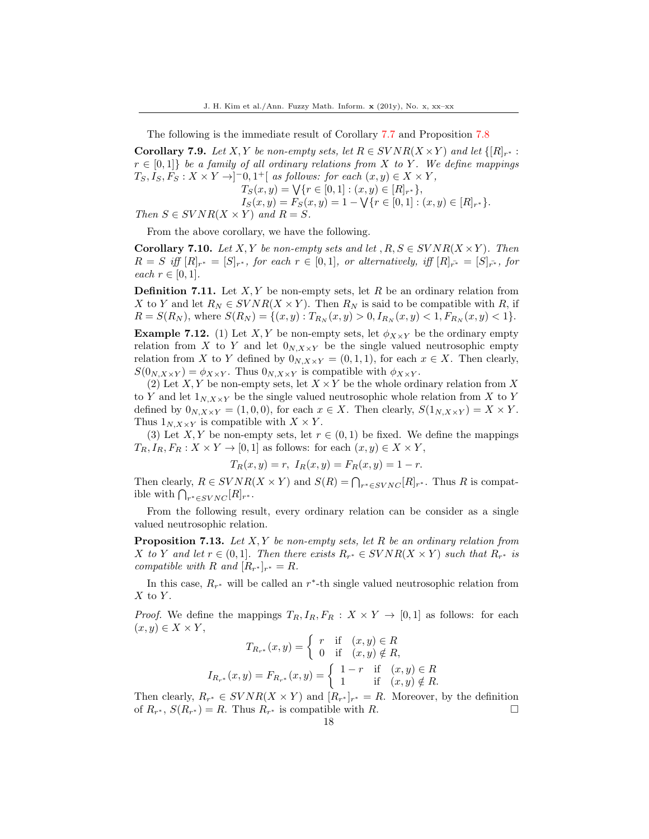The following is the immediate result of Corollary 7.7 and Proposition 7.8

**Corollary 7.9.** Let X, Y be non-empty sets, let  $R \in SVNR(X \times Y)$  and let  $\{[R]_{r^*}:$  $r \in [0,1]$  be a family of all ordinary relations from X to Y. We define mappings  $T_S, I_S, F_S: X \times Y \rightarrow ]-0,1^+[$  as follows: for each  $(x, y) \in X \times Y$ ,  $T_S(x, y) = \bigvee \{r \in [0, 1] : (x, y) \in [R]_{r^*}\},\$  $I_S(x, y) = F_S(x, y) = 1 - \sqrt{\{r \in [0, 1] : (x, y) \in [R]_{r^*}\}}.$ Then  $S \in SVNR(X \times Y)$  and  $R = S$ .

From the above corollary, we have the following.

**Corollary 7.10.** Let X, Y be non-empty sets and let ,  $R, S \in SVNR(X \times Y)$ . Then  $R = S$  iff  $[R]_{r^*} = [S]_{r^*}$ , for each  $r \in [0,1]$ , or alternatively, iff  $[R]_{r^*} = [S]_{r^*}$ , for each  $r \in [0,1]$ .

**Definition 7.11.** Let  $X, Y$  be non-empty sets, let R be an ordinary relation from X to Y and let  $R_N \in SVNR(X \times Y)$ . Then  $R_N$  is said to be compatible with R, if  $R = S(R_N)$ , where  $S(R_N) = \{(x, y) : T_{R_N}(x, y) > 0, I_{R_N}(x, y) < 1, F_{R_N}(x, y) < 1\}.$ 

**Example 7.12.** (1) Let X, Y be non-empty sets, let  $\phi_{X\times Y}$  be the ordinary empty relation from X to Y and let  $0_{N,X\times Y}$  be the single valued neutrosophic empty relation from X to Y defined by  $0_{N,X\times Y} = (0,1,1)$ , for each  $x \in X$ . Then clearly,  $S(0_{N,X\times Y}) = \phi_{X\times Y}$ . Thus  $0_{N,X\times Y}$  is compatible with  $\phi_{X\times Y}$ .

(2) Let  $X, Y$  be non-empty sets, let  $X \times Y$  be the whole ordinary relation from X to Y and let  $1_{N,X\times Y}$  be the single valued neutrosophic whole relation from X to Y defined by  $0_{N,X\times Y} = (1,0,0)$ , for each  $x \in X$ . Then clearly,  $S(1_{N,X\times Y}) = X \times Y$ . Thus  $1_{N,X\times Y}$  is compatible with  $X\times Y$ .

(3) Let X, Y be non-empty sets, let  $r \in (0,1)$  be fixed. We define the mappings  $T_R, I_R, F_R: X \times Y \to [0, 1]$  as follows: for each  $(x, y) \in X \times Y$ ,

$$
T_R(x, y) = r, I_R(x, y) = F_R(x, y) = 1 - r.
$$

Then clearly,  $R \in SVNR(X \times Y)$  and  $S(R) = \bigcap_{r^* \in SVNC}[R]_{r^*}$ . Thus R is compatible with  $\bigcap_{r^* \in SVNC} [R]_{r^*}$ .

From the following result, every ordinary relation can be consider as a single valued neutrosophic relation.

**Proposition 7.13.** Let  $X, Y$  be non-empty sets, let R be an ordinary relation from X to Y and let  $r \in (0,1]$ . Then there exists  $R_{r^*} \in SVNR(X \times Y)$  such that  $R_{r^*}$  is compatible with R and  $[R_{r^*}]_{r^*} = R$ .

In this case,  $R_{r^*}$  will be called an  $r^*$ -th single valued neutrosophic relation from  $X$  to  $Y$ .

*Proof.* We define the mappings  $T_R$ ,  $I_R$ ,  $F_R : X \times Y \to [0, 1]$  as follows: for each  $(x, y) \in X \times Y$ ,

$$
T_{R_{r^*}}(x,y) = \begin{cases} r & \text{if } (x,y) \in R \\ 0 & \text{if } (x,y) \notin R, \end{cases}
$$

$$
I_{R_{r^*}}(x,y) = F_{R_{r^*}}(x,y) = \begin{cases} 1-r & \text{if } (x,y) \in R \\ 1 & \text{if } (x,y) \notin R. \end{cases}
$$

Then clearly,  $R_{r^*} \in SVNR(X \times Y)$  and  $[R_{r^*}]_{r^*} = R$ . Moreover, by the definition of  $R_{r^*}$ ,  $S(R_{r^*}) = R$ . Thus  $R_{r^*}$  is compatible with R.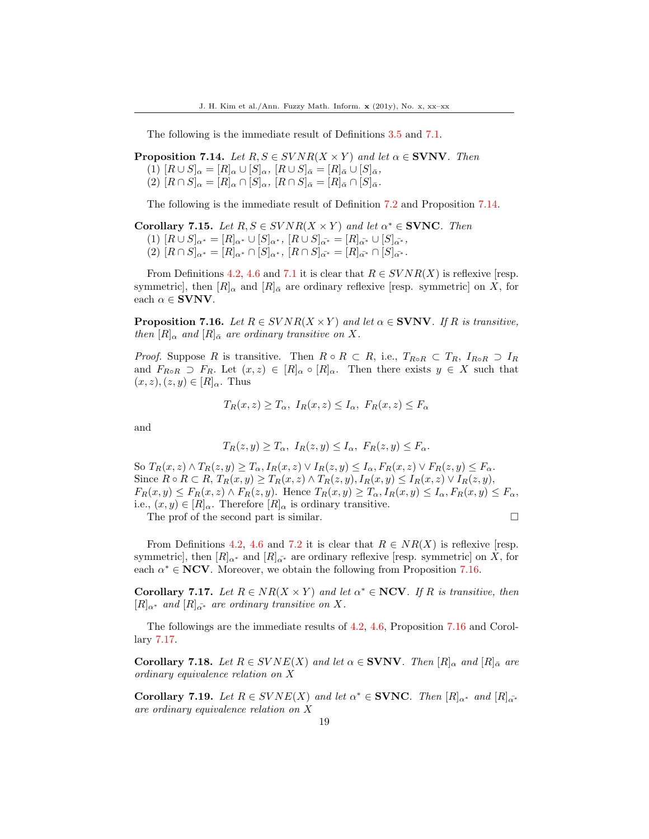The following is the immediate result of Definitions 3.5 and 7.1.

**Proposition 7.14.** Let  $R, S \in SVNR(X \times Y)$  and let  $\alpha \in SVNV$ . Then  $(1)$   $[R \cup S]_{\alpha} = [R]_{\alpha} \cup [S]_{\alpha}, [R \cup S]_{\bar{\alpha}} = [R]_{\bar{\alpha}} \cup [S]_{\bar{\alpha}},$  $(2) [R \cap S]_{\alpha} = [R]_{\alpha} \cap [S]_{\alpha}, [R \cap S]_{\bar{\alpha}} = [R]_{\bar{\alpha}} \cap [S]_{\bar{\alpha}}.$ 

The following is the immediate result of Definition 7.2 and Proposition 7.14.

Corollary 7.15. Let  $R, S \in SVNR(X \times Y)$  and let  $\alpha^* \in \text{SVNC}$ . Then  $(1)$   $[R \cup S]_{\alpha^*} = [R]_{\alpha^*} \cup [S]_{\alpha^*},$   $[R \cup S]_{\alpha^*} = [R]_{\alpha^*} \cup [S]_{\alpha^*},$  $(2)$   $[R \cap S]_{\alpha^*} = [R]_{\alpha^*} \cap [S]_{\alpha^*}$ ,  $[R \cap S]_{\alpha^*} = [R]_{\alpha^*} \cap [S]_{\alpha^*}$ .

From Definitions 4.2, 4.6 and 7.1 it is clear that  $R \in SVNR(X)$  is reflexive [resp. symmetric], then  $[R]_{\alpha}$  and  $[R]_{\overline{\alpha}}$  are ordinary reflexive [resp. symmetric] on X, for each  $\alpha \in$  **SVNV**.

**Proposition 7.16.** Let  $R \in SVNR(X \times Y)$  and let  $\alpha \in \text{SVNV}$ . If R is transitive, then  $[R]_{\alpha}$  and  $[R]_{\bar{\alpha}}$  are ordinary transitive on X.

*Proof.* Suppose R is transitive. Then  $R \circ R \subset R$ , i.e.,  $T_{R \circ R} \subset T_R$ ,  $I_{R \circ R} \supset I_R$ and  $F_{R\circ R} \supset F_R$ . Let  $(x, z) \in [R]_\alpha \circ [R]_\alpha$ . Then there exists  $y \in X$  such that  $(x, z), (z, y) \in [R]_{\alpha}$ . Thus

$$
T_R(x, z) \ge T_\alpha, I_R(x, z) \le I_\alpha, F_R(x, z) \le F_\alpha
$$

and

$$
T_R(z,y) \ge T_\alpha, I_R(z,y) \le I_\alpha, F_R(z,y) \le F_\alpha.
$$

So  $T_R(x, z) \wedge T_R(z, y) \geq T_\alpha$ ,  $I_R(x, z) \vee I_R(z, y) \leq I_\alpha$ ,  $F_R(x, z) \vee F_R(z, y) \leq F_\alpha$ . Since  $R \circ R \subset R$ ,  $T_R(x, y) \geq T_R(x, z) \wedge T_R(z, y)$ ,  $I_R(x, y) \leq I_R(x, z) \vee I_R(z, y)$ ,  $F_R(x,y) \leq F_R(x,z) \wedge F_R(z,y)$ . Hence  $T_R(x,y) \geq T_\alpha$ ,  $I_R(x,y) \leq I_\alpha$ ,  $F_R(x,y) \leq F_\alpha$ , i.e.,  $(x, y) \in [R]_{\alpha}$ . Therefore  $[R]_{\alpha}$  is ordinary transitive.

The prof of the second part is similar.

From Definitions 4.2, 4.6 and 7.2 it is clear that  $R \in NR(X)$  is reflexive [resp. symmetric], then  $[R]_{\alpha^*}$  and  $[R]_{\alpha^*}$  are ordinary reflexive [resp. symmetric] on X, for each  $\alpha^* \in \mathbf{NCV}$ . Moreover, we obtain the following from Proposition 7.16.

**Corollary 7.17.** Let  $R \in NR(X \times Y)$  and let  $\alpha^* \in NCV$ . If R is transitive, then  $[R]_{\alpha^*}$  and  $[R]_{\alpha^*}$  are ordinary transitive on X.

The followings are the immediate results of 4.2, 4.6, Proposition 7.16 and Corollary 7.17.

**Corollary 7.18.** Let  $R \in SVNE(X)$  and let  $\alpha \in SVNN$ . Then  $[R]_{\alpha}$  and  $[R]_{\bar{\alpha}}$  are ordinary equivalence relation on X

**Corollary 7.19.** Let  $R \in SVNE(X)$  and let  $\alpha^* \in SVNC$ . Then  $[R]_{\alpha^*}$  and  $[R]_{\alpha^*}$ are ordinary equivalence relation on X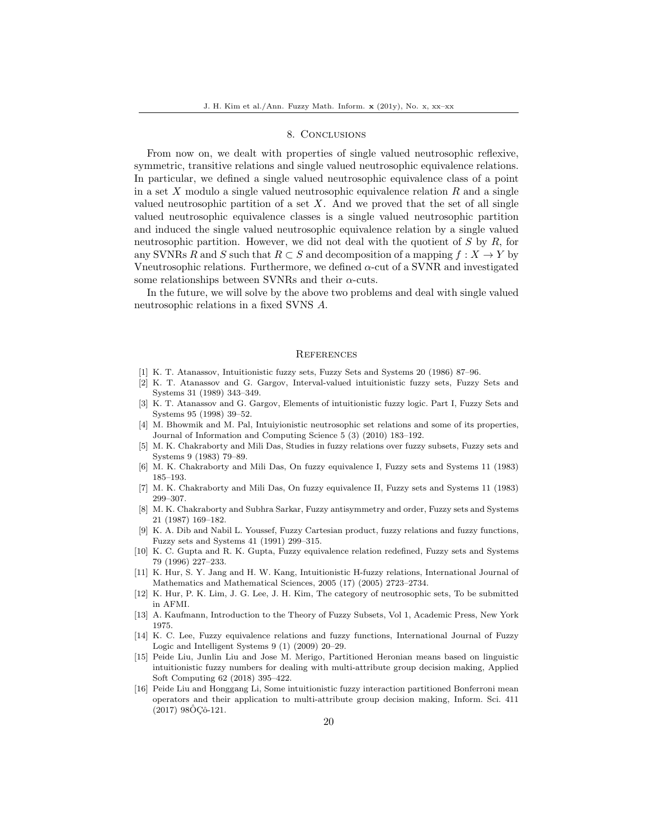## 8. Conclusions

From now on, we dealt with properties of single valued neutrosophic reflexive, symmetric, transitive relations and single valued neutrosophic equivalence relations. In particular, we defined a single valued neutrosophic equivalence class of a point in a set  $X$  modulo a single valued neutrosophic equivalence relation  $R$  and a single valued neutrosophic partition of a set  $X$ . And we proved that the set of all single valued neutrosophic equivalence classes is a single valued neutrosophic partition and induced the single valued neutrosophic equivalence relation by a single valued neutrosophic partition. However, we did not deal with the quotient of  $S$  by  $R$ , for any SVNRs R and S such that  $R \subset S$  and decomposition of a mapping  $f : X \to Y$  by Vneutrosophic relations. Furthermore, we defined  $\alpha$ -cut of a SVNR and investigated some relationships between SVNRs and their  $\alpha$ -cuts.

In the future, we will solve by the above two problems and deal with single valued neutrosophic relations in a fixed SVNS A.

#### **REFERENCES**

- <span id="page-19-8"></span>[1] K. T. Atanassov, Intuitionistic fuzzy sets, Fuzzy Sets and Systems 20 (1986) 87–96.
- <span id="page-19-9"></span>[2] K. T. Atanassov and G. Gargov, Interval-valued intuitionistic fuzzy sets, Fuzzy Sets and Systems 31 (1989) 343–349.
- <span id="page-19-10"></span>[3] K. T. Atanassov and G. Gargov, Elements of intuitionistic fuzzy logic. Part I, Fuzzy Sets and Systems 95 (1998) 39–52.
- <span id="page-19-14"></span>[4] M. Bhowmik and M. Pal, Intuiyionistic neutrosophic set relations and some of its properties, Journal of Information and Computing Science 5 (3) (2010) 183–192.
- <span id="page-19-0"></span>[5] M. K. Chakraborty and Mili Das, Studies in fuzzy relations over fuzzy subsets, Fuzzy sets and Systems 9 (1983) 79–89.
- <span id="page-19-1"></span>[6] M. K. Chakraborty and Mili Das, On fuzzy equivalence I, Fuzzy sets and Systems 11 (1983) 185–193.
- <span id="page-19-2"></span>[7] M. K. Chakraborty and Mili Das, On fuzzy equivalence II, Fuzzy sets and Systems 11 (1983) 299–307.
- <span id="page-19-3"></span>[8] M. K. Chakraborty and Subhra Sarkar, Fuzzy antisymmetry and order, Fuzzy sets and Systems 21 (1987) 169–182.
- <span id="page-19-4"></span>[9] K. A. Dib and Nabil L. Youssef, Fuzzy Cartesian product, fuzzy relations and fuzzy functions, Fuzzy sets and Systems 41 (1991) 299–315.
- <span id="page-19-5"></span>[10] K. C. Gupta and R. K. Gupta, Fuzzy equivalence relation redefined, Fuzzy sets and Systems 79 (1996) 227–233.
- <span id="page-19-11"></span>[11] K. Hur, S. Y. Jang and H. W. Kang, Intuitionistic H-fuzzy relations, International Journal of Mathematics and Mathematical Sciences, 2005 (17) (2005) 2723–2734.
- [12] K. Hur, P. K. Lim, J. G. Lee, J. H. Kim, The category of neutrosophic sets, To be submitted in AFMI.
- <span id="page-19-6"></span>[13] A. Kaufmann, Introduction to the Theory of Fuzzy Subsets, Vol 1, Academic Press, New York 1975.
- <span id="page-19-7"></span>[14] K. C. Lee, Fuzzy equivalence relations and fuzzy functions, International Journal of Fuzzy Logic and Intelligent Systems 9 (1) (2009) 20–29.
- <span id="page-19-12"></span>[15] Peide Liu, Junlin Liu and Jose M. Merigo, Partitioned Heronian means based on linguistic intuitionistic fuzzy numbers for dealing with multi-attribute group decision making, Applied Soft Computing 62 (2018) 395–422.
- <span id="page-19-13"></span>[16] Peide Liu and Honggang Li, Some intuitionistic fuzzy interaction partitioned Bonferroni mean operators and their application to multi-attribute group decision making, Inform. Sci. 411  $(2017)$  98ÔÇô-121.